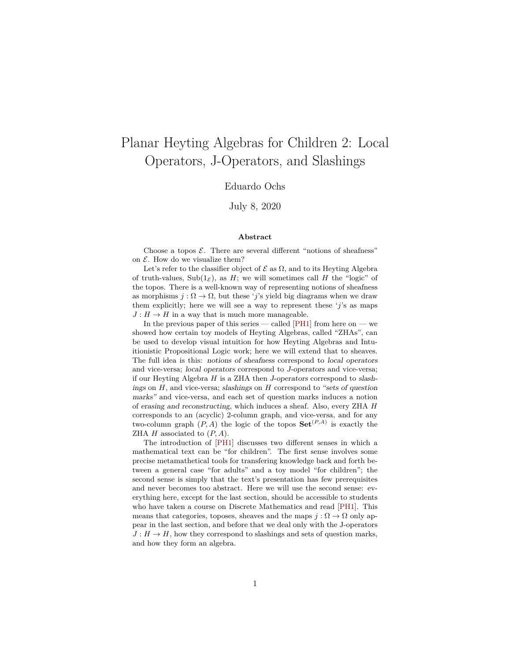# Planar Heyting Algebras for Children 2: Local Operators, J-Operators, and Slashings

#### Eduardo Ochs

July 8, 2020

#### **Abstract**

Choose a topos  $\mathcal{E}$ . There are several different "notions of sheafness" on  $\mathcal E$ . How do we visualize them?

Let's refer to the classifier object of  $\mathcal E$  as  $\Omega$ , and to its Heyting Algebra of truth-values,  $\text{Sub}(1_\mathcal{E})$ , as H; we will sometimes call H the "logic" of the topos. There is a well-known way of representing notions of sheafness as morphisms  $j : \Omega \to \Omega$ , but these 'j's yield big diagrams when we draw them explicitly; here we will see a way to represent these  $'i$ 's as maps  $J: H \to H$  in a way that is much more manageable.

In the previous paper of this series — called  $[PH1]$  from here on — we showed how certain toy models of Heyting Algebras, called "ZHAs", can be used to develop visual intuition for how Heyting Algebras and Intuitionistic Propositional Logic work; here we will extend that to sheaves. The full idea is this: notions of sheafness correspond to local operators and vice-versa; local operators correspond to J-operators and vice-versa; if our Heyting Algebra  $H$  is a ZHA then J-operators correspond to slashings on  $H$ , and vice-versa; slashings on  $H$  correspond to "sets of question" marks" and vice-versa, and each set of question marks induces a notion of erasing and reconstructing, which induces a sheaf. Also, every ZHA H corresponds to an (acyclic) 2-column graph, and vice-versa, and for any two-column graph  $(P, A)$  the logic of the topos  $\mathbf{Set}^{(P,A)}$  is exactly the ZHA  $H$  associated to  $(P, A)$ .

The introduction of [\[PH1\]](#page-37-0) discusses two different senses in which a mathematical text can be "for children". The first sense involves some precise metamathetical tools for transfering knowledge back and forth between a general case "for adults" and a toy model "for children"; the second sense is simply that the text's presentation has few prerequisites and never becomes too abstract. Here we will use the second sense: everything here, except for the last section, should be accessible to students who have taken a course on Discrete Mathematics and read [\[PH1\]](#page-37-0). This means that categories, toposes, sheaves and the maps  $j : \Omega \to \Omega$  only appear in the last section, and before that we deal only with the J-operators  $J: H \to H$ , how they correspond to slashings and sets of question marks, and how they form an algebra.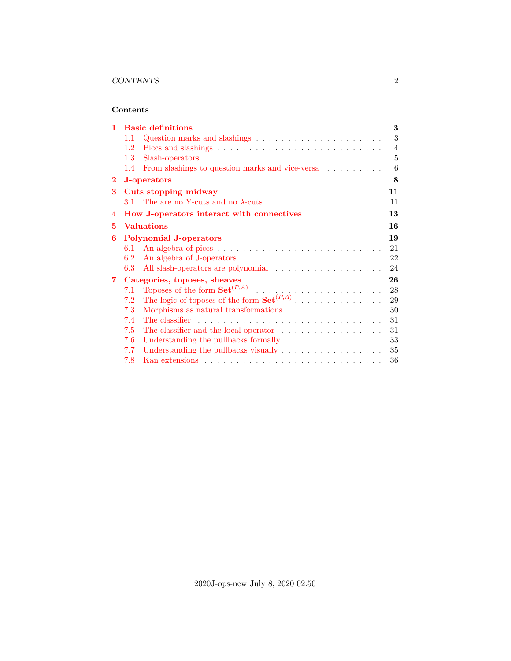#### **Contents**

| 1            | <b>Basic definitions</b>                                                                   | 3  |  |  |  |  |  |  |  |
|--------------|--------------------------------------------------------------------------------------------|----|--|--|--|--|--|--|--|
|              | Question marks and slashings $\ldots \ldots \ldots \ldots \ldots \ldots \ldots$<br>$1.1\,$ |    |  |  |  |  |  |  |  |
|              | 1.2                                                                                        | 4  |  |  |  |  |  |  |  |
|              | 1.3 <sup>°</sup>                                                                           | 5  |  |  |  |  |  |  |  |
|              | From slashings to question marks and vice-versa<br>1.4                                     | 6  |  |  |  |  |  |  |  |
| $\bf{2}$     | 8<br>J-operators                                                                           |    |  |  |  |  |  |  |  |
| 3            | Cuts stopping midway                                                                       | 11 |  |  |  |  |  |  |  |
|              | 3.1 The are no Y-cuts and no $\lambda$ -cuts                                               | 11 |  |  |  |  |  |  |  |
| 4            | How J-operators interact with connectives                                                  | 13 |  |  |  |  |  |  |  |
| 5            | <b>Valuations</b><br>16                                                                    |    |  |  |  |  |  |  |  |
| 6            | <b>Polynomial J-operators</b>                                                              |    |  |  |  |  |  |  |  |
|              | 6.1                                                                                        | 21 |  |  |  |  |  |  |  |
|              | 6.2                                                                                        | 22 |  |  |  |  |  |  |  |
|              | All slash-operators are polynomial<br>6.3                                                  | 24 |  |  |  |  |  |  |  |
| $\mathbf{7}$ | Categories, toposes, sheaves                                                               | 26 |  |  |  |  |  |  |  |
|              | 7.1                                                                                        | 28 |  |  |  |  |  |  |  |
|              | 7.2                                                                                        | 29 |  |  |  |  |  |  |  |
|              | 7.3<br>Morphisms as natural transformations                                                | 30 |  |  |  |  |  |  |  |
|              | 7.4                                                                                        | 31 |  |  |  |  |  |  |  |
|              | The classifier and the local operator $\dots \dots \dots \dots \dots$<br>7.5               | 31 |  |  |  |  |  |  |  |
|              | 7.6<br>Understanding the pullbacks formally                                                | 33 |  |  |  |  |  |  |  |
|              | Understanding the pullbacks visually<br>7.7                                                | 35 |  |  |  |  |  |  |  |
|              | 7.8                                                                                        | 36 |  |  |  |  |  |  |  |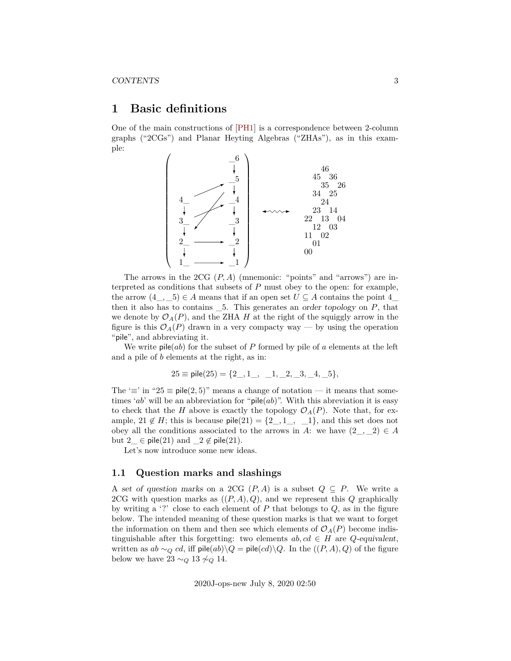# <span id="page-2-0"></span>**1 Basic definitions**

One of the main constructions of [\[PH1\]](#page-37-0) is a correspondence between 2-column graphs ("2CGs") and Planar Heyting Algebras ("ZHAs"), as in this example:



The arrows in the 2CG  $(P, A)$  (mnemonic: "points" and "arrows") are interpreted as conditions that subsets of  $P$  must obey to the open: for example, the arrow  $(4_-, 5) \in A$  means that if an open set  $U \subseteq A$  contains the point  $4_$ then it also has to contains  $\_\,$ 5. This generates an order topology on  $P$ , that we denote by  $\mathcal{O}_A(P)$ , and the ZHA H at the right of the squiggly arrow in the figure is this  $\mathcal{O}_A(P)$  drawn in a very compacty way — by using the operation "pile", and abbreviating it.

We write  $\mathsf{pile}(ab)$  for the subset of P formed by pile of a elements at the left and a pile of b elements at the right, as in:

$$
25 \equiv \text{pile}(25) = \{2\_, 1\_, \_1, \_2, \_3, \_4, \_5\},
$$

The ' $\equiv$ ' in "25  $\equiv$  pile(2,5)" means a change of notation — it means that sometimes 'ab' will be an abbreviation for "pile(ab)". With this abreviation it is easy to check that the H above is exactly the topology  $\mathcal{O}_A(P)$ . Note that, for example,  $21 \notin H$ ; this is because  $\text{pile}(21) = \{2, 1, 1, 1\}$ , and this set does not obey all the conditions associated to the arrows in A: we have  $(2, 2) \in A$ but  $2 \text{ } \in \text{ pile}(21) \text{ and } 2 \notin \text{ pile}(21).$ 

Let's now introduce some new ideas.

#### <span id="page-2-1"></span>**1.1 Question marks and slashings**

A set of question marks on a 2CG  $(P, A)$  is a subset  $Q \subseteq P$ . We write a 2CG with question marks as  $((P, A), Q)$ , and we represent this Q graphically by writing a '?' close to each element of  $P$  that belongs to  $Q$ , as in the figure below. The intended meaning of these question marks is that we want to forget the information on them and then see which elements of  $\mathcal{O}_A(P)$  become indistinguishable after this forgetting: two elements  $ab, cd \in H$  are  $Q$ -equivalent, written as  $ab \sim_Q cd$ , iff pile $(ab)\backslash Q$  = pile $(cd)\backslash Q$ . In the  $((P, A), Q)$  of the figure below we have  $23 \sim_Q 13 \not\sim_Q 14$ .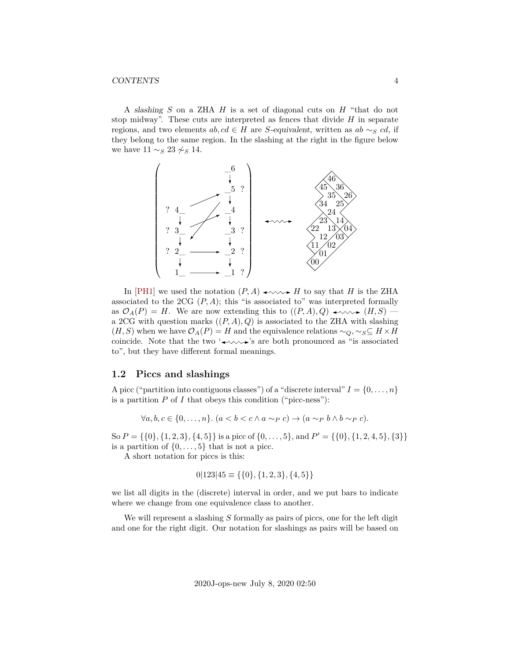#### CONTENTS 4

A slashing  $S$  on a ZHA  $H$  is a set of diagonal cuts on  $H$  "that do not stop midway". These cuts are interpreted as fences that divide  $H$  in separate regions, and two elements  $ab, cd \in H$  are S-equivalent, written as  $ab \sim_S cd$ , if they belong to the same region. In the slashing at the right in the figure below we have  $11 \sim_S 23 \not\sim_S 14$ .



In [\[PH1\]](#page-37-0) we used the notation  $(P, A) \longrightarrow A \longrightarrow H$  to say that H is the ZHA associated to the 2CG  $(P, A)$ ; this "is associated to" was interpreted formally as  $\mathcal{O}_A(P) = H$ . We are now extending this to  $((P, A), Q) \longrightarrow \longrightarrow (H, S)$ a 2CG with question marks  $((P, A), Q)$  is associated to the ZHA with slashing  $(H, S)$  when we have  $\mathcal{O}_A(P) = H$  and the equivalence relations  $\sim_Q, \sim_S \subseteq H \times H$ coincide. Note that the two ' $\leftrightarrow\rightarrow\rightarrow$ 's are both pronounced as "is associated to", but they have different formal meanings.

#### <span id="page-3-0"></span>**1.2 Piccs and slashings**

A picc ("partition into contiguous classes") of a "discrete interval"  $I = \{0, \ldots, n\}$ is a partition  $P$  of  $I$  that obeys this condition ("picc-ness"):

$$
\forall a, b, c \in \{0, \dots, n\}. (a < b < c \land a \sim_P c) \rightarrow (a \sim_P b \land b \sim_P c).
$$

So  $P = \{\{0\}, \{1, 2, 3\}, \{4, 5\}\}\$ is a picc of  $\{0, \ldots, 5\}$ , and  $P' = \{\{0\}, \{1, 2, 4, 5\}, \{3\}\}\$ is a partition of  $\{0, \ldots, 5\}$  that is not a picc.

A short notation for piccs is this:

$$
0|123|45 \equiv \{\{0\}, \{1, 2, 3\}, \{4, 5\}\}\
$$

we list all digits in the (discrete) interval in order, and we put bars to indicate where we change from one equivalence class to another.

We will represent a slashing  $S$  formally as pairs of piccs, one for the left digit and one for the right digit. Our notation for slashings as pairs will be based on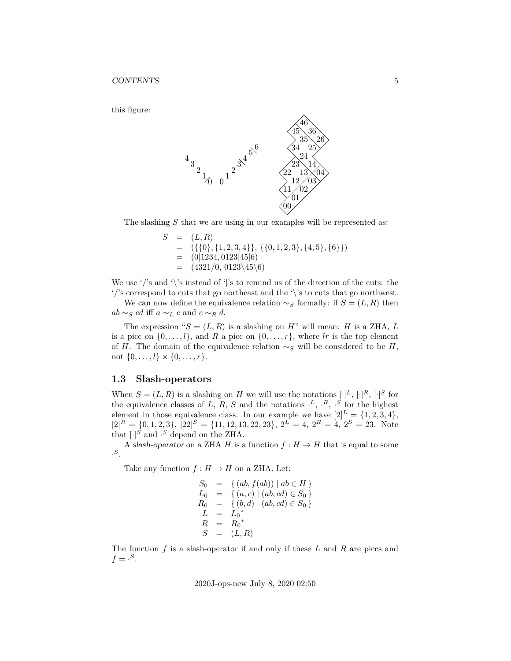this figure:



The slashing  $S$  that we are using in our examples will be represented as:

 $S = (L, R)$  $=$   $({\{0\}, \{1, 2, 3, 4\}\}, {\{0, 1, 2, 3\}, \{4, 5\}, \{6\}\})$  $=$  (0|1234, 0123|45|6)  $=$   $(4321/0, 0123\backslash45\backslash6)$ 

We use '/'s and '\'s instead of '|'s to remind us of the direction of the cuts: the '/'s correspond to cuts that go northeast and the '\'s to cuts that go northwest.

We can now define the equivalence relation  $\sim_S$  formally: if  $S = (L, R)$  then  $ab \sim_S cd$  iff  $a \sim_L c$  and  $c \sim_R d$ .

The expression " $S = (L, R)$  is a slashing on H" will mean: H is a ZHA, L is a picc on  $\{0,\ldots,l\}$ , and R a picc on  $\{0,\ldots,r\}$ , where lr is the top element of H. The domain of the equivalence relation  $\sim_S$  will be considered to be H, not  $\{0, \ldots, l\} \times \{0, \ldots, r\}.$ 

#### <span id="page-4-0"></span>**1.3 Slash-operators**

When  $S = (L, R)$  is a slashing on H we will use the notations  $[\cdot]^L$ ,  $[\cdot]^R$ ,  $[\cdot]^S$  for the equivalence classes of L, R, S and the notations  $\cdot^L$ ,  $\cdot^R$ ,  $\cdot^S$  for the highest element in those equivalence class. In our example we have  $[2]^L = \{1, 2, 3, 4\},\$  $[2]^{R} = \{0, 1, 2, 3\}, [22]^{S} = \{11, 12, 13, 22, 23\}, 2^{L} = 4, 2^{R} = 4, 2^{S} = 23.$  Note that  $[\cdot]^{S}$  and  $\cdot^{S}$  depend on the ZHA.

A slash-operator on a ZHA H is a function  $f : H \to H$  that is equal to some  $\cdot$ <sup>S</sup>.

Take any function  $f : H \to H$  on a ZHA. Let:

$$
S_0 = \{ (ab, f(ab)) \mid ab \in H \}
$$
  
\n
$$
L_0 = \{ (a, c) \mid (ab, cd) \in S_0 \}
$$
  
\n
$$
R_0 = \{ (b, d) \mid (ab, cd) \in S_0 \}
$$
  
\n
$$
L = L_0^*
$$
  
\n
$$
R = R_0^*
$$
  
\n
$$
S = (L, R)
$$

The function f is a slash-operator if and only if these  $L$  and  $R$  are piccs and  $f = \cdot^S$ .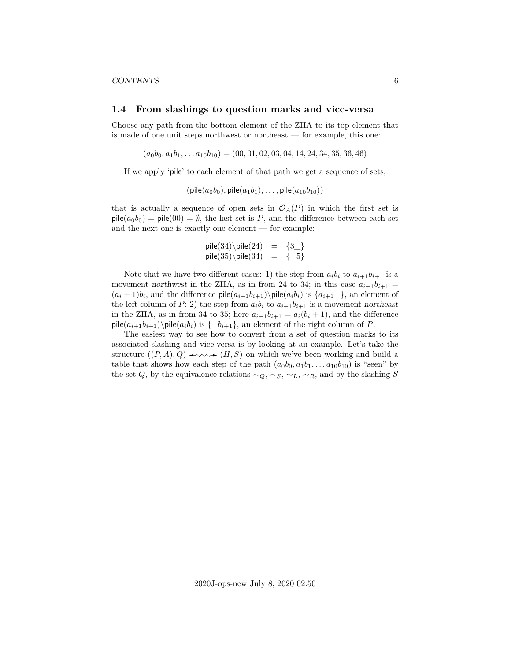#### CONTENTS 6

#### <span id="page-5-0"></span>**1.4 From slashings to question marks and vice-versa**

Choose any path from the bottom element of the ZHA to its top element that is made of one unit steps northwest or northeast — for example, this one:

$$
(a_0b_0, a_1b_1, \ldots a_{10}b_{10}) = (00, 01, 02, 03, 04, 14, 24, 34, 35, 36, 46)
$$

If we apply 'pile' to each element of that path we get a sequence of sets,

$$
(\mathsf{pile}(a_0b_0), \mathsf{pile}(a_1b_1), \ldots, \mathsf{pile}(a_{10}b_{10}))
$$

that is actually a sequence of open sets in  $\mathcal{O}_A(P)$  in which the first set is  $\text{pile}(a_0b_0) = \text{pile}(00) = \emptyset$ , the last set is P, and the difference between each set and the next one is exactly one element — for example:

$$
pile(34) \phi(24) = {3_}
$$
  

$$
pile(35) \phi(34) = {3_5}
$$

Note that we have two different cases: 1) the step from  $a_i b_i$  to  $a_{i+1} b_{i+1}$  is a movement northwest in the ZHA, as in from 24 to 34; in this case  $a_{i+1}b_{i+1} =$  $(a_i+1)b_i$ , and the difference  $\mathsf{pile}(a_{i+1}b_{i+1})\$ is  $\{a_{i+1}$ , an element of the left column of P; 2) the step from  $a_i b_i$  to  $a_{i+1}b_{i+1}$  is a movement northeast in the ZHA, as in from 34 to 35; here  $a_{i+1}b_{i+1} = a_i(b_i + 1)$ , and the difference pile $(a_{i+1}b_{i+1})$  pile $(a_ib_i)$  is  $\{\_b_{i+1}\}$ , an element of the right column of P.

The easiest way to see how to convert from a set of question marks to its associated slashing and vice-versa is by looking at an example. Let's take the structure  $((P, A), Q) \longrightarrow (H, S)$  on which we've been working and build a table that shows how each step of the path  $(a_0b_0, a_1b_1, \ldots a_{10}b_{10})$  is "seen" by the set Q, by the equivalence relations  $\sim_Q$ ,  $\sim_S$ ,  $\sim_L$ ,  $\sim_R$ , and by the slashing S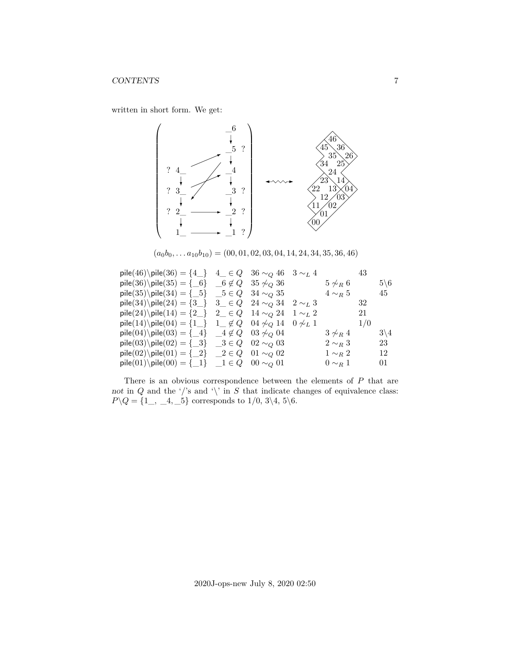written in short form. We get:



 $(a_0b_0, \ldots a_{10}b_{10}) = (00, 01, 02, 03, 04, 14, 24, 34, 35, 36, 46)$ 

| pile(46)\pile(36) = {4_} $4 \le Q$ 36 ~ $Q$ 46 3 ~ $L$ 4                     |                                       |                  | 43  |                 |
|------------------------------------------------------------------------------|---------------------------------------|------------------|-----|-----------------|
| pile(36)\pile(35) = $\{-6\}$ $\_\6 \notin Q$ 35 $\nsim_Q$ 36                 |                                       | $5 \not\sim_R 6$ |     | $5\backslash 6$ |
| $\text{pile}(35)\ \text{pile}(34) = \{-5\}$ $\_5 \in Q$ 34 $\sim_Q 35$       |                                       | $4 \sim_R 5$     |     | 45              |
| pile(34)\pile(24) = {3_} 3_ $\in Q$ 24 $\sim_Q$ 34 2 $\sim_L$ 3              |                                       |                  | 32  |                 |
| $\mathsf{pile}(24)\$ $\mathsf{pile}(14) = \{2 \}$                            | $2 \in Q$ 14 $\sim_Q 24$ 1 $\sim_L 2$ |                  | 21  |                 |
| pile(14)\pile(04) = {1_} 1_ $\notin Q$ 04 $\not\sim_Q$ 14 0 $\not\sim_L$ 1   |                                       |                  | 1/0 |                 |
| pile(04)\pile(03) = {_4} _4 $\notin Q$ 03 $\not\sim_Q$ 04                    |                                       | $3 \not\sim_R 4$ |     | $3\backslash 4$ |
| pile(03)\pile(02) = {_3} _3 $\in Q$ 02 $\sim_Q$ 03                           |                                       | $2 \sim_R 3$     |     | 23              |
| $\text{pile}(02)\ \text{pile}(01) = \{-2\} \quad 2 \in Q \quad 01 \sim_Q 02$ |                                       | $1 \sim_R 2$     |     | 12              |
| $\text{pile}(01)\ \text{pile}(00) = \{-1\} \quad 1 \in Q \quad 00 \sim_Q 01$ |                                       | $0 \sim_R 1$     |     | 01              |

There is an obvious correspondence between the elements of P that are not in Q and the '/'s and '\' in S that indicate changes of equivalence class:  $P \backslash Q = \{1, 4, 5\}$  corresponds to  $1/0, 3\backslash 4, 5\backslash 6$ .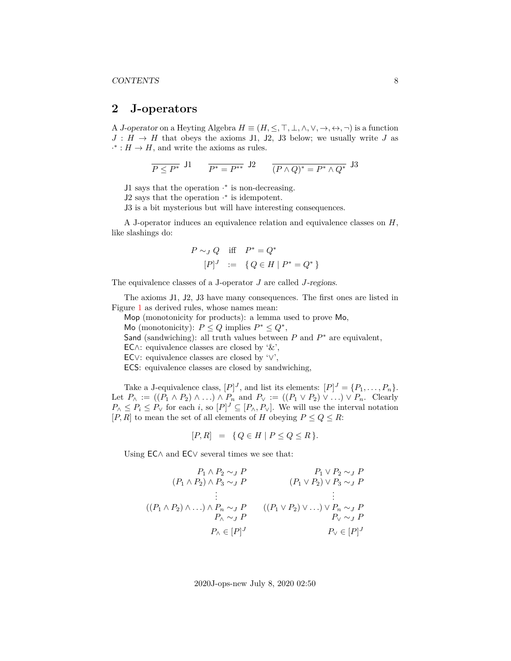# <span id="page-7-0"></span>**2 J-operators**

A J-operator on a Heyting Algebra  $H \equiv (H, \leq, \top, \bot, \wedge, \vee, \rightarrow, \leftrightarrow, \neg)$  is a function  $J: H \to H$  that obeys the axioms J1, J2, J3 below; we usually write J as  $·$  :  $H$  →  $H$ , and write the axioms as rules.

$$
\overline{P \le P^*} \ \, \text{J1} \qquad \overline{P^* = P^{**}} \ \, \text{J2} \qquad \overline{(P \wedge Q)^* = P^* \wedge Q^*} \ \, \text{J3}
$$

J1 says that the operation  $\cdot^*$  is non-decreasing.

J2 says that the operation · ∗ is idempotent.

J3 is a bit mysterious but will have interesting consequences.

A J-operator induces an equivalence relation and equivalence classes on H, like slashings do:

$$
P \sim_J Q \quad \text{iff} \quad P^* = Q^* [P]^J \quad := \quad \{Q \in H \mid P^* = Q^*\}
$$

The equivalence classes of a J-operator J are called J-regions.

The axioms J1, J2, J3 have many consequences. The first ones are listed in Figure [1](#page-8-0) as derived rules, whose names mean:

Mop (monotonicity for products): a lemma used to prove Mo,

Mo (monotonicity):  $P \leq Q$  implies  $P^* \leq Q^*$ ,

Sand (sandwiching): all truth values between  $P$  and  $P^*$  are equivalent,

EC∧: equivalence classes are closed by  $\&$ ,

EC∨: equivalence classes are closed by '∨',

ECS: equivalence classes are closed by sandwiching,

Take a J-equivalence class,  $[P]^J$ , and list its elements:  $[P]^J = \{P_1, \ldots, P_n\}.$ Let  $P_{\wedge} := ((P_1 \wedge P_2) \wedge ...) \wedge P_n$  and  $P_{\vee} := ((P_1 \vee P_2) \vee ...) \vee P_n$ . Clearly  $P_{\wedge} \leq P_i \leq P_{\vee}$  for each i, so  $[P]^J \subseteq [P_{\wedge}, P_{\vee}]$ . We will use the interval notation [P, R] to mean the set of all elements of H obeying  $P \le Q \le R$ :

$$
[P, R] = \{ Q \in H \mid P \le Q \le R \}.
$$

Using EC∧ and EC∨ several times we see that:

$$
(P_1 \wedge P_2 \wedge J \cap P) \qquad P_1 \vee P_2 \wedge J \cap P
$$
  
\n
$$
\vdots \qquad \qquad (P_1 \vee P_2) \vee P_3 \wedge J \cap P
$$
  
\n
$$
\vdots \qquad \qquad \vdots
$$
  
\n
$$
((P_1 \wedge P_2) \wedge \dots) \wedge P_n \sim J \cap P \qquad ((P_1 \vee P_2) \vee \dots) \vee P_n \sim J \cap P
$$
  
\n
$$
\vdots \qquad \qquad \vdots
$$
  
\n
$$
P_{\wedge} \sim J \cap P \qquad \qquad P_{\vee} \sim J \cap P
$$
  
\n
$$
P_{\wedge} \in [P]^J \qquad \qquad P_{\vee} \in [P]^J
$$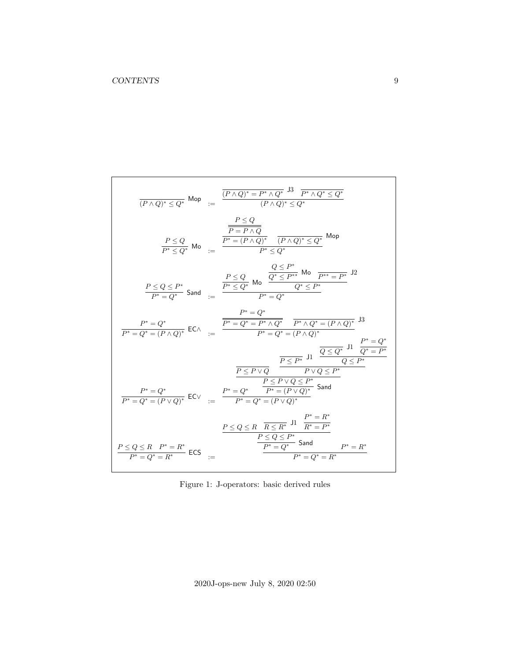$$
\frac{(P \wedge Q)^* \leq Q^*}{(P \wedge Q)^* \leq Q^*} \text{ Mop} := \frac{\frac{(P \wedge Q)^* = P^* \wedge Q^*}{(P \wedge Q)^* \leq Q^*} \frac{P^* \wedge Q^* \leq Q^*}{(P \wedge Q)^* \leq Q^*} \frac{P^* \leq Q}{P^* \leq P^*} \frac{P^* \leq Q}{P^* \leq P^*} \frac{P^* \leq Q^*}{P^* \leq Q^*} \text{ Mop}
$$
\n
$$
\frac{P \leq Q}{P^* \leq Q^*} \text{ Mop} := \frac{\frac{P \leq Q}{P^* \leq P^*} \frac{Q \leq P^*}{(P \wedge Q)^* \leq Q^*} \frac{P^* \leq Q^*}{Q^* \leq P^*} \frac{P^* \leq Q^*}{Q^* \leq P^*} \frac{P^* \leq Q^*}{P^* \leq Q^*} \frac{P^* \leq Q^*}{P^* \leq Q^*} \frac{P^* \leq Q^*}{P^* \leq Q^*} \frac{P^* \leq Q^*}{P^* \leq Q^*} \frac{P^* \leq Q^*}{P^* \leq Q^*} \frac{P^* \leq Q^*}{P^* \leq Q^*} \frac{P^* \leq Q^*}{P^* \leq Q^*} \frac{P^* \leq Q^*}{P^* \leq Q^*} \frac{P^* \leq Q^*}{Q^* \leq P^*} \frac{P^* \leq Q^*}{Q^* \leq P^*} \frac{P^* \leq P^* \leq P^*}{P^* \leq Q^* \leq P^*} \frac{P^* \leq P^* \leq P^*}{P^* \leq Q^* \leq P^*} \frac{P^* \leq P^* \leq P^*}{P^* \leq Q^* \leq P^*} \frac{P^* \leq P^* \leq P^*}{P^* \leq Q^* \leq P^*} \frac{P^* \leq Q \leq R \cdot P^* = R^*}{P^* \leq Q^* \leq R \cdot P^* = R^*} \frac{P^* \leq Q \leq R \cdot P^* = R^*}{P^* \leq Q^* \
$$

<span id="page-8-0"></span>Figure 1: J-operators: basic derived rules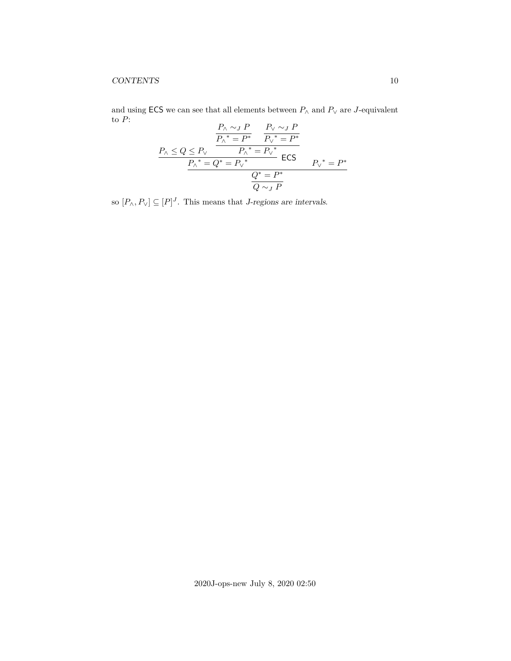and using  $\mathsf{ECS}$  we can see that all elements between  $P_\wedge$  and  $P_\vee$  are  $J\text{-}\mathrm{equivalent}$ to  $P$ :

$$
\frac{P_{\land} \sim_{J} P}{P_{\land}^* = P^*} \frac{P_{\lor} \sim_{J} P}{P_{\lor}^* = P^*}
$$
\n
$$
\frac{P_{\land} \le Q \le P_{\lor}}{P_{\land}^* = P_{\lor}^*} \text{ ECS}
$$
\n
$$
\frac{P_{\land}^* = Q^* = P_{\lor}^*}{Q^* = P^*}
$$
\n
$$
\frac{Q^* = P^*}{Q \sim_{J} P}
$$

so  $[P_{\wedge}, P_{\vee}] \subseteq [P]^J$ . This means that *J*-regions are intervals.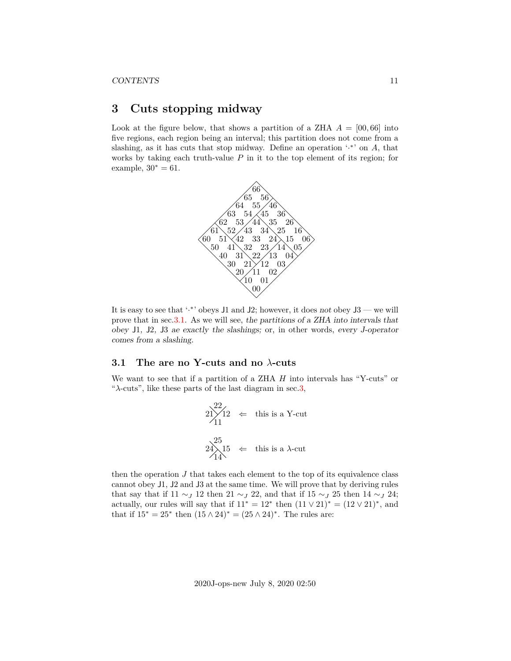# <span id="page-10-0"></span>**3 Cuts stopping midway**

Look at the figure below, that shows a partition of a ZHA  $A = [00, 66]$  into five regions, each region being an interval; this partition does not come from a slashing, as it has cuts that stop midway. Define an operation  $\cdot^*$  on A, that works by taking each truth-value  $P$  in it to the top element of its region; for example,  $30^* = 61$ .



It is easy to see that '.\*' obeys J1 and J2; however, it does not obey  $J3$  — we will prove that in sec[.3.1.](#page-10-1) As we will see, the partitions of a ZHA into intervals that obey J1, J2, J3 ae exactly the slashings; or, in other words, every J-operator comes from a slashing.

#### <span id="page-10-1"></span>**3.1 The are no Y-cuts and no** λ**-cuts**

We want to see that if a partition of a ZHA H into intervals has "Y-cuts" or " $\lambda$ -cuts", like these parts of the last diagram in sec[.3,](#page-10-0)

$$
21 \overline{\smash{\big)}\ 12} \begin{array}{l} 22 \\ \leftarrow \end{array}
$$
 this is a Y-cut  
 
$$
24 \overline{\smash{\big)}\ 15} \begin{array}{l} 25 \\ \leftarrow \end{array}
$$
 this is a \$\lambda\$-cut  
 
$$
14 \overline{\smash{\big)}\ 14}
$$

then the operation  $J$  that takes each element to the top of its equivalence class cannot obey J1, J2 and J3 at the same time. We will prove that by deriving rules that say that if  $11 \sim J$  12 then  $21 \sim J$  22, and that if  $15 \sim J$  25 then  $14 \sim J$  24; actually, our rules will say that if  $11^* = 12^*$  then  $(11 \vee 21)^* = (12 \vee 21)^*$ , and that if  $15^* = 25^*$  then  $(15 \wedge 24)^* = (25 \wedge 24)^*$ . The rules are: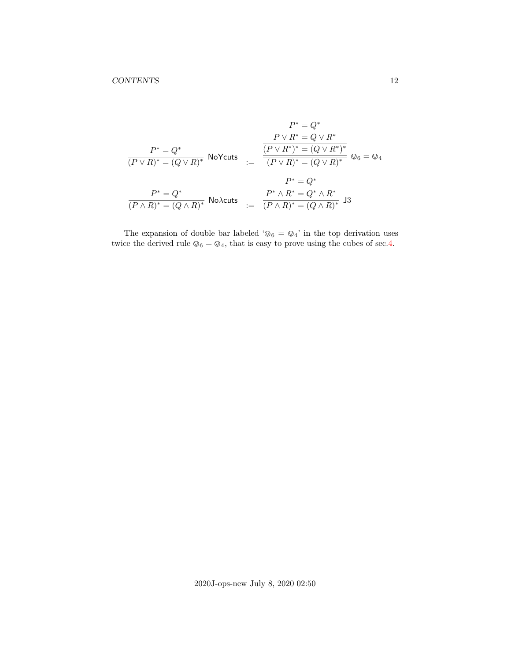$$
\frac{P^* = Q^*}{P \vee R^* = Q \vee R^*}
$$
\n
$$
\frac{P^* = Q^*}{(P \vee R)^* = (Q \vee R)^*}
$$
\nNoYcuts

\n
$$
:= \frac{\frac{(P \vee R^*)^*}{(P \vee R)^* = (Q \vee R^*)^*}}{(P \vee R)^* = (Q \vee R)^*}
$$
\n
$$
\frac{P^* = Q^*}{(P \wedge R)^* = (Q \wedge R)^*}
$$
\n
$$
:= \frac{P^* = Q^*}{(P \wedge R)^* = (Q \wedge R)^*}
$$
\nNoXcuts

\n
$$
:= \frac{P^* \wedge R^* = Q^* \wedge R^*}{(P \wedge R)^* = (Q \wedge R)^*}
$$
\nJoXcuts

The expansion of double bar labeled  $\lq \mathbb{O}_6$  =  $\mathbb{Q}_4$  ' in the top derivation uses twice the derived rule  $\mathbb{Q}_6 = \mathbb{Q}_4,$  that is easy to prove using the cubes of sec[.4.](#page-12-0)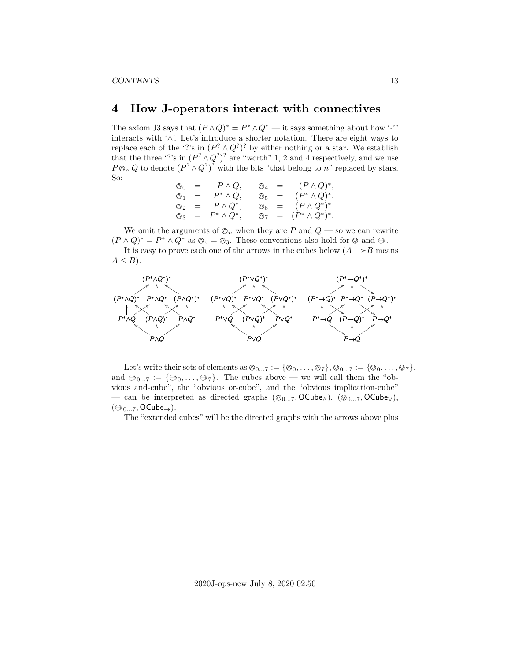# <span id="page-12-0"></span>**4 How J-operators interact with connectives**

The axiom J3 says that  $(P \wedge Q)^* = P^* \wedge Q^*$  — it says something about how '.<sup>\*</sup>' interacts with '∧'. Let's introduce a shorter notation. There are eight ways to replace each of the '?'s in  $(P^? \wedge Q^? )^?$  by either nothing or a star. We establish that the three '?'s in  $(P^? \wedge Q^?)^?$  are "worth" 1, 2 and 4 respectively, and we use  $P \otimes_n Q$  to denote  $(P^? \wedge Q^?)^?$  with the bits "that belong to n" replaced by stars. So:

$$
\begin{array}{rcl}\n\oslash_0 & = & P \wedge Q, \\
\oslash_1 & = & P^* \wedge Q, \\
\oslash_2 & = & P \wedge Q^*, \\
\oslash_3 & = & P^* \wedge Q^*, \\
\oslash_4 & = & P^* \wedge Q^*, \\
\oslash_5 & = & (P^* \wedge Q)^*, \\
\oslash_6 & = & (P \wedge Q^*)^*, \\
\oslash_7 & = & (P^* \wedge Q^*)^*.\n\end{array}
$$

We omit the arguments of  $\mathcal{O}_n$  when they are P and  $Q$  — so we can rewrite  $(P \wedge Q)^* = P^* \wedge Q^*$  as  $\mathcal{O}_4 = \mathcal{O}_3$ . These conventions also hold for  $\mathcal{O}$  and  $\Theta$ .<br>It is easy to prove each one of the arrows in the subse holow  $(A \rightarrow B$  mass

It is easy to prove each one of the arrows in the cubes below  $(A \rightarrow B$  means  $A \leq B$ :



Let's write their sets of elements as  $\mathcal{O}_{0...7} := {\mathcal{O}_0, \ldots, \mathcal{O}_7}, \mathcal{O}_{0...7} := {\mathcal{O}_0, \ldots, \mathcal{O}_7},$ and  $\ominus_{0...7} := {\ominus_0, \ldots, \ominus_7}.$  The cubes above — we will call them the "obvious and-cube", the "obvious or-cube", and the "obvious implication-cube" — can be interpreted as directed graphs ( $\mathcal{O}_{0...7}$ , OCube<sub>∧</sub>), ( $\mathcal{O}_{0...7}$ , OCube<sub>∨</sub>),  $(\ominus_{0...7}, \text{OCube}_{\rightarrow}).$ 

The "extended cubes" will be the directed graphs with the arrows above plus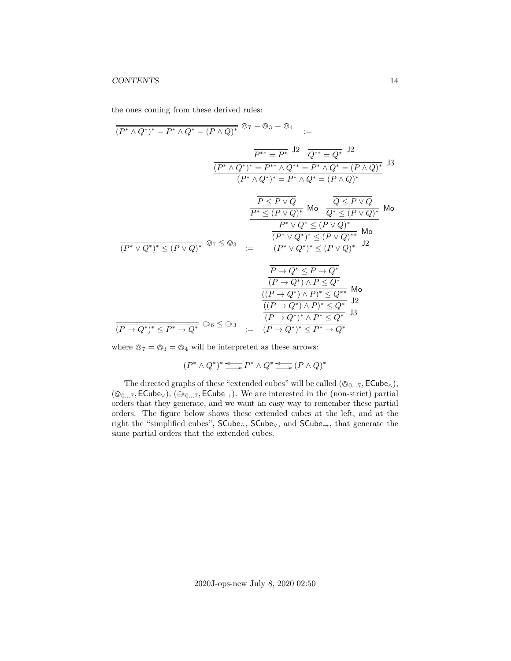#### CONTENTS 14

the ones coming from these derived rules:

$$
\frac{\overline{(P^* \wedge Q^*)^*} = P^* \wedge Q^* = (P \wedge Q)^*} {\overline{(P^* \wedge Q^*)^*} = P^* \wedge Q^*} = \text{O}_3 = \text{O}_4 \quad :=
$$
\n
$$
\frac{\overline{P^{**} = P^*} \wedge 2}{Q^{**} = Q^*} \wedge \frac{12}{Q^{**} = Q^*} \wedge \frac{12}{Q^{**} = Q^*} \wedge \frac{12}{Q^{**} = Q^*} \wedge \frac{12}{Q^{**} = Q^* \wedge Q^*} = \text{O}_4 \wedge Q^* \wedge \frac{12}{Q^{**} = Q^* \wedge Q^*} = \text{O}_4 \wedge Q^* \wedge \frac{12}{Q^{**} = Q^* \wedge Q^*} = \text{O}_4 \wedge Q^* \wedge \frac{12}{Q^{**} = Q^* \wedge Q^*} \wedge \frac{12}{Q^{**} = Q^* \wedge Q^*} = \text{O}_4 \wedge Q^* \wedge \frac{12}{Q^{**} = Q^* \wedge Q^*} \wedge \frac{12}{Q^{**} = Q^* \wedge Q^* \wedge Q^*} = \text{O}_4 \wedge Q^* \wedge \frac{12}{Q^{**} = Q^* \wedge Q^*} \wedge \frac{12}{Q^{**} \wedge Q^* \wedge Q^*} \wedge \frac{12}{Q^{**} \wedge Q^* \wedge Q^* \wedge Q^*} = \text{O}_4 \wedge \frac{12}{Q^{**} \wedge Q^* \wedge Q^* \wedge Q^*} \wedge \frac{12}{Q^{**} \wedge Q^* \wedge Q^* \wedge Q^*} = \text{O}_4 \wedge \frac{12}{Q^{**} \wedge Q^* \wedge Q^* \wedge Q^* \wedge Q^*} \wedge \frac{12}{Q^{**} \wedge Q^* \wedge Q^* \wedge Q^* \wedge Q^*} = \text{O}_4 \wedge \frac{12}{Q^{**} \wedge Q^* \wedge Q^* \wedge Q^* \wedge Q^* \wedge Q^* \wedge Q^* \wedge Q^* \wedge Q^* \wedge Q^* \wedge Q^* \wedge Q^* \wedge Q^* \wedge Q^* \wedge Q^* \wedge Q^*
$$

where  $\oslash_7 = \oslash_3 = \oslash_4$  will be interpreted as these arrows:

 $(P^* \wedge Q^*)^* \leq P^* \wedge Q^* \leq (P \wedge Q)^*$ 

The directed graphs of these "extended cubes" will be called  $(\mathcal{O}_{0...7}, \mathsf{ECube}_{\wedge}),$  $(\mathcal{Q}_{0...7}, \mathsf{ECube}_{\vee}), (\oplus_{0...7}, \mathsf{ECube}_{\rightarrow}).$  We are interested in the (non-strict) partial orders that they generate, and we want an easy way to remember these partial orders. The figure below shows these extended cubes at the left, and at the right the "simplified cubes", SCube∧, SCube∨, and SCube→, that generate the same partial orders that the extended cubes.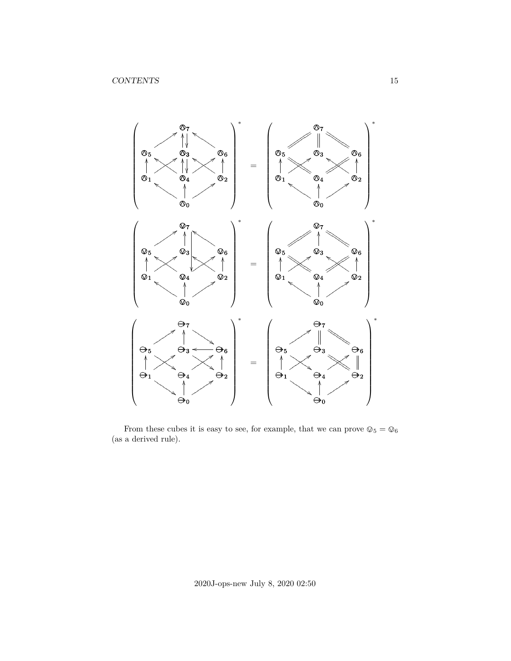

From these cubes it is easy to see, for example, that we can prove  $\oslash_5 = \oslash_6$ (as a derived rule).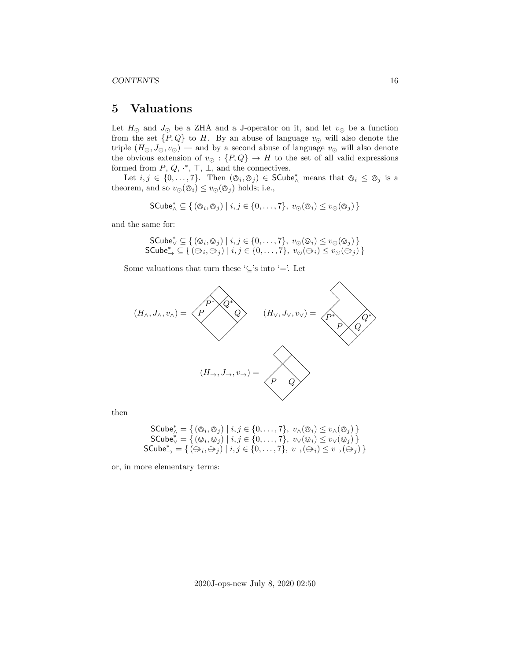### <span id="page-15-0"></span>**5 Valuations**

Let  $H_{\odot}$  and  $J_{\odot}$  be a ZHA and a J-operator on it, and let  $v_{\odot}$  be a function from the set  $\{P,Q\}$  to H. By an abuse of language  $v_{\odot}$  will also denote the triple  $(H_{\odot}, J_{\odot}, v_{\odot})$  — and by a second abuse of language  $v_{\odot}$  will also denote the obvious extension of  $v_{\odot} : \{P,Q\} \rightarrow H$  to the set of all valid expressions formed from  $P, Q, \cdot^*, \top, \bot$ , and the connectives.

Let  $i, j \in \{0, \ldots, 7\}$ . Then  $(\mathcal{O}_i, \mathcal{O}_j) \in \mathsf{SCube}_{\wedge}^*$  means that  $\mathcal{O}_i \leq \mathcal{O}_j$  is a theorem, and so  $v_{\odot}(\mathcal{O}_i) \leq v_{\odot}(\mathcal{O}_j)$  holds; i.e.,

$$
\mathsf{SCube}_{\wedge}^* \subseteq \{ (\oslash_i, \oslash_j) \mid i, j \in \{0, \ldots, 7\}, \ v_{\odot}(\oslash_i) \leq v_{\odot}(\oslash_j) \}
$$

and the same for:

$$
\mathsf{SCube}_{\vee}^* \subseteq \{ (\mathbb{Q}_i, \mathbb{Q}_j) \mid i, j \in \{0, \dots, 7\}, v_{\odot}(\mathbb{Q}_i) \le v_{\odot}(\mathbb{Q}_j) \}
$$
  
\n
$$
\mathsf{SCube}_{\rightarrow}^* \subseteq \{ (\mathbb{Q}_i, \mathbb{Q}_j) \mid i, j \in \{0, \dots, 7\}, v_{\odot}(\mathbb{Q}_i) \le v_{\odot}(\mathbb{Q}_j) \}
$$

Some valuations that turn these ' $\subseteq$ 's into '='. Let



then

$$
\begin{array}{c}\mathsf{SCube}_{\wedge}^{*} = \{ (\oslash_{i}, \oslash_{j}) \mid i, j \in \{0, \ldots, 7\}, \ v_{\wedge}(\oslash_{i}) \le v_{\wedge}(\oslash_{j}) \} \\ \mathsf{SCube}_{\vee}^{*} = \{ (\oslash_{i}, \oslash_{j}) \mid i, j \in \{0, \ldots, 7\}, \ v_{\vee}(\oslash_{i}) \le v_{\vee}(\oslash_{j}) \} \\ \mathsf{SCube}_{\rightarrow}^{*} = \{ (\ominus_{i}, \ominus_{j}) \mid i, j \in \{0, \ldots, 7\}, \ v_{\rightarrow}(\ominus_{i}) \le v_{\rightarrow}(\ominus_{j}) \} \end{array}
$$

or, in more elementary terms: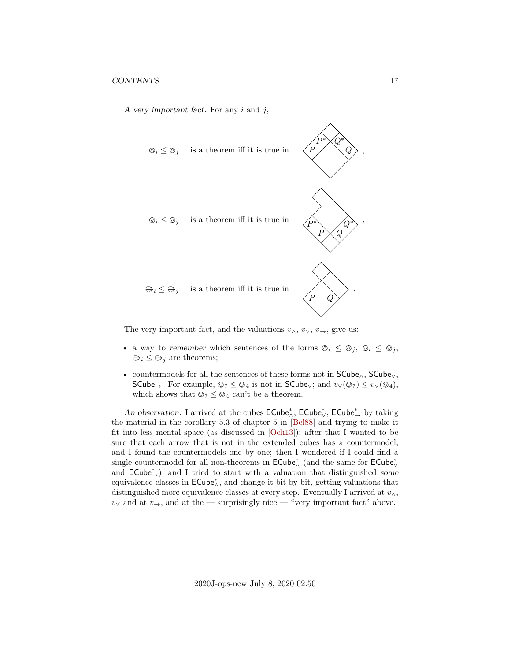A very important fact. For any  $i$  and  $j$ ,



The very important fact, and the valuations  $v_{\wedge}, v_{\vee}, v_{\rightarrow}$ , give us:

- a way to remember which sentences of the forms  $\mathbb{O}_i \leq \mathbb{O}_j$ ,  $\mathbb{O}_i \leq \mathbb{O}_j$ ,  $\ominus_i \leq \ominus_j$  are theorems;
- countermodels for all the sentences of these forms not in SCube∧, SCube∨, SCube→. For example,  $\mathbb{Q}_7 \leq \mathbb{Q}_4$  is not in SCube<sub>∨</sub>; and  $v_\vee(\mathbb{Q}_7) \leq v_\vee(\mathbb{Q}_4)$ , which shows that  $\mathbb{Q}_7 \leq \mathbb{Q}_4$  can't be a theorem.

An observation. I arrived at the cubes  $\mathsf{ECube}^*_\wedge, \mathsf{ECube}^*_\vee, \mathsf{ECube}^*_\rightarrow$  by taking the material in the corollary 5.3 of chapter 5 in [\[Bel88\]](#page-37-1) and trying to make it fit into less mental space (as discussed in [\[Och13\]](#page-37-2)); after that I wanted to be sure that each arrow that is not in the extended cubes has a countermodel, and I found the countermodels one by one; then I wondered if I could find a single countermodel for all non-theorems in  $\mathsf{ECube}^*_\wedge$  (and the same for  $\mathsf{ECube}^*_\vee$ and ECube<sup>\*</sup><sub>→</sub>), and I tried to start with a valuation that distinguished some equivalence classes in  $\mathsf{ECube}^*_\wedge,$  and change it bit by bit, getting valuations that distinguished more equivalence classes at every step. Eventually I arrived at  $v_\wedge$ ,  $v_{\vee}$  and at  $v_{\rightarrow}$ , and at the — surprisingly nice — "very important fact" above.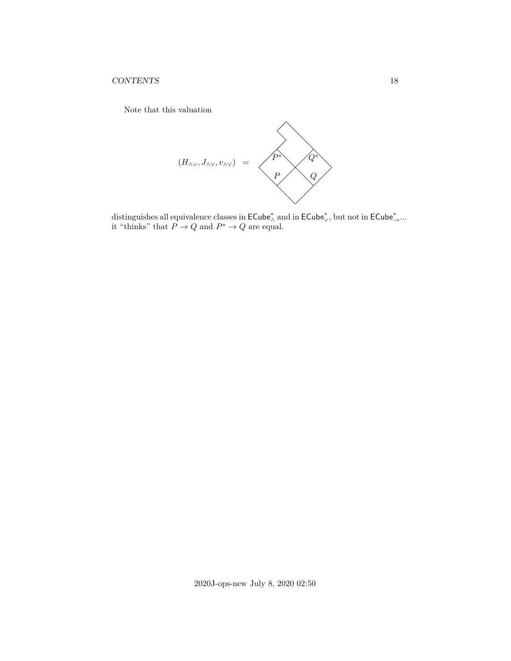Note that this valuation



distinguishes all equivalence classes in  $\mathsf{ECube}^*_\wedge$  and in  $\mathsf{ECube}^*_\vee$ , but not in  $\mathsf{ECube}^*_\rightarrow \dots$ it "thinks" that  $P \to Q$  and  $P^* \to Q$  are equal.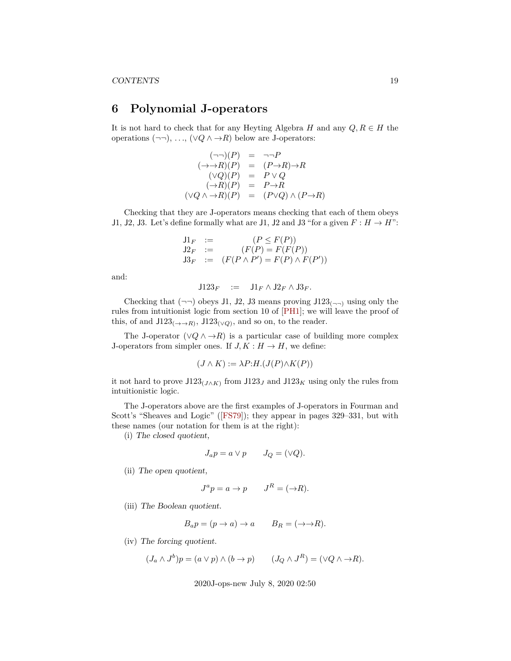# <span id="page-18-0"></span>**6 Polynomial J-operators**

It is not hard to check that for any Heyting Algebra H and any  $Q, R \in H$  the operations  $(\neg\neg), \ldots, (\forall Q \land \neg R)$  below are J-operators:

> $(\neg\neg)(P) = \neg\neg P$  $(\rightarrow \rightarrow R)(P) = (P \rightarrow R) \rightarrow R$  $(\vee Q)(P) = P \vee Q$  $(\rightarrow R)(P) = P \rightarrow R$  $(\forall Q \land \rightarrow R)(P) = (P \lor Q) \land (P \rightarrow R)$

Checking that they are J-operators means checking that each of them obeys J1, J2, J3. Let's define formally what are J1, J2 and J3 "for a given  $F : H \to H$ ":

$$
J1_F := (P \le F(P))
$$
  
\n
$$
J2_F := (F(P) = F(F(P))
$$
  
\n
$$
J3_F := (F(P \wedge P') = F(P) \wedge F(P'))
$$

and:

$$
\mathsf{J}123_F \quad := \quad \mathsf{J}1_F \wedge \mathsf{J}2_F \wedge \mathsf{J}3_F.
$$

Checking that  $(\neg \neg)$  obeys J1, J2, J3 means proving J123<sub>( $\neg \neg$ )</sub> using only the rules from intuitionist logic from section 10 of [\[PH1\]](#page-37-0); we will leave the proof of this, of and  $J123_{(\rightarrow \rightarrow R)}$ ,  $J123_{(\vee Q)}$ , and so on, to the reader.

The J-operator  $(\vee Q \wedge \rightarrow R)$  is a particular case of building more complex J-operators from simpler ones. If  $J, K : H \to H$ , we define:

$$
(J \wedge K) := \lambda P:H.(J(P) \wedge K(P))
$$

it not hard to prove  $J123_{(J\wedge K)}$  from  $J123_J$  and  $J123_K$  using only the rules from intuitionistic logic.

The J-operators above are the first examples of J-operators in Fourman and Scott's "Sheaves and Logic"([\[FS79\]](#page-37-3)); they appear in pages 329–331, but with these names (our notation for them is at the right):

(i) The closed quotient,

$$
J_a p = a \vee p \qquad J_Q = (\vee Q).
$$

(ii) The open quotient,

$$
J^a p = a \to p \qquad J^R = (\to R).
$$

(iii) The Boolean quotient.

$$
B_a p = (p \to a) \to a \qquad B_R = (\to \to R).
$$

(iv) The forcing quotient.

$$
(J_a \wedge J^b)p = (a \vee p) \wedge (b \to p) \qquad (J_Q \wedge J^R) = (\vee Q \wedge \to R).
$$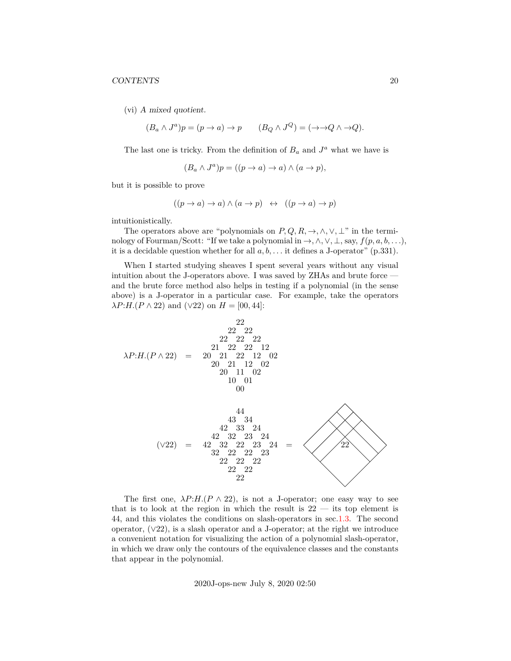(vi) A mixed quotient.

$$
(B_a \wedge J^a)p = (p \to a) \to p \qquad (B_Q \wedge J^Q) = (\to Q \wedge \to Q).
$$

The last one is tricky. From the definition of  $B_a$  and  $J^a$  what we have is

$$
(B_a \wedge J^a)p = ((p \to a) \to a) \wedge (a \to p),
$$

but it is possible to prove

$$
((p \to a) \to a) \land (a \to p) \iff ((p \to a) \to p)
$$

intuitionistically.

The operators above are "polynomials on  $P, Q, R, \rightarrow, \land, \lor, \bot$ " in the terminology of Fourman/Scott: "If we take a polynomial in  $\rightarrow$ ,  $\land$ ,  $\lor$ ,  $\bot$ , say,  $f(p, a, b, \ldots)$ , it is a decidable question whether for all  $a, b, \ldots$  it defines a J-operator" (p.331).

When I started studying sheaves I spent several years without any visual intuition about the J-operators above. I was saved by ZHAs and brute force and the brute force method also helps in testing if a polynomial (in the sense above) is a J-operator in a particular case. For example, take the operators  $\lambda P:H.(P \wedge 22)$  and  $(\vee 22)$  on  $H = [00, 44]$ :

$$
\lambda P:H.(P \land 22) = \begin{pmatrix}\n22 & 22 & 22 \\
22 & 22 & 22 \\
21 & 22 & 22 & 12 \\
20 & 21 & 22 & 12 & 02 \\
20 & 21 & 12 & 02\n\end{pmatrix}
$$
\n
$$
\begin{pmatrix}\n44 & 43 & 34 \\
42 & 33 & 24 \\
42 & 33 & 24 \\
42 & 32 & 23 & 24 \\
42 & 32 & 22 & 23 & 24 \\
32 & 22 & 22 & 23 & 24 \\
22 & 22 & 22 & 22 & 22 \\
22 & 22 & 22 & 22\n\end{pmatrix}
$$
\n
$$
\begin{pmatrix}\n44 & 43 & 34 \\
42 & 33 & 24 \\
22 & 22 & 23 & 24 \\
22 & 22 & 22 & 22 \\
22 & 22 & 22 & 22\n\end{pmatrix}
$$

The first one,  $\lambda P:H(P \wedge 22)$ , is not a J-operator; one easy way to see that is to look at the region in which the result is  $22 -$  its top element is 44, and this violates the conditions on slash-operators in sec[.1.3.](#page-4-0) The second operator,  $(\sqrt{22})$ , is a slash operator and a J-operator; at the right we introduce a convenient notation for visualizing the action of a polynomial slash-operator, in which we draw only the contours of the equivalence classes and the constants that appear in the polynomial.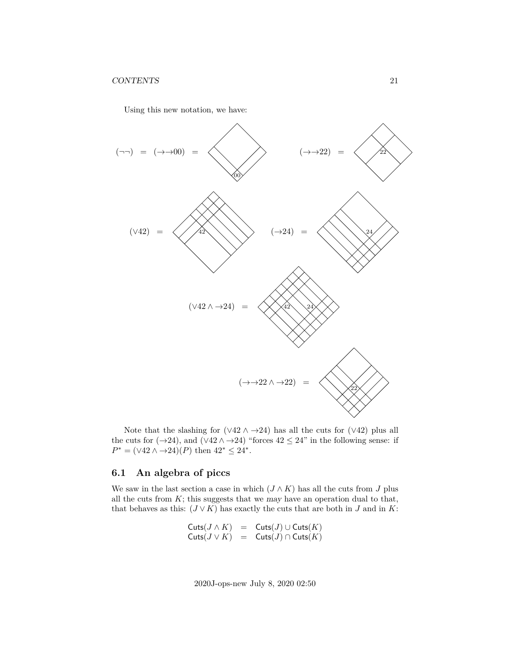Using this new notation, we have:



Note that the slashing for  $(\sqrt{42} \wedge \rightarrow 24)$  has all the cuts for  $(\sqrt{42})$  plus all the cuts for  $(\rightarrow 24)$ , and  $(\vee 42 \wedge \rightarrow 24)$  "forces  $42 \leq 24$ " in the following sense: if  $P^* = (\sqrt{42} \wedge \rightarrow 24)(P)$  then  $42^* \leq 24^*$ .

### <span id="page-20-0"></span>**6.1 An algebra of piccs**

We saw in the last section a case in which  $(J \wedge K)$  has all the cuts from J plus all the cuts from  $K$ ; this suggests that we may have an operation dual to that, that behaves as this:  $(J \vee K)$  has exactly the cuts that are both in J and in K:

$$
\begin{array}{lcl} {\sf Cuts}(J \wedge K) & = & {\sf Cuts}(J) \cup {\sf Cuts}(K) \\ {\sf Cuts}(J \vee K) & = & {\sf Cuts}(J) \cap {\sf Cuts}(K) \end{array}
$$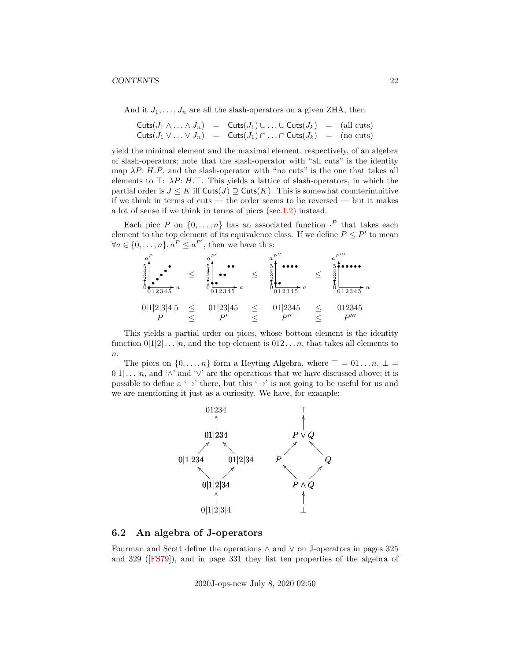And it  $J_1, \ldots, J_n$  are all the slash-operators on a given ZHA, then

|  | $\mathsf{Cuts}(J_1 \wedge \ldots \wedge J_n) = \mathsf{Cuts}(J_1) \cup \ldots \cup \mathsf{Cuts}(J_k) = (\text{all cuts})$ |  |
|--|----------------------------------------------------------------------------------------------------------------------------|--|
|  | Cuts $(J_1 \vee \ldots \vee J_n)$ = Cuts $(J_1) \cap \ldots \cap$ Cuts $(J_k)$ = (no cuts)                                 |  |

yield the minimal element and the maximal element, respectively, of an algebra of slash-operators; note that the slash-operator with "all cuts" is the identity map  $\lambda P$ : H.P, and the slash-operator with "no cuts" is the one that takes all elements to  $\top: \lambda P: H.\top$ . This yields a lattice of slash-operators, in which the partial order is  $J \leq K$  iff  $\text{Cuts}(J) \supseteq \text{Cuts}(K)$ . This is somewhat counterintuitive if we think in terms of cuts — the order seems to be reversed — but it makes a lot of sense if we think in terms of piccs (sec[.1.2\)](#page-3-0) instead.

Each picc P on  $\{0,\ldots,n\}$  has an associated function  $\cdot^P$  that takes each element to the top element of its equivalence class. If we define  $P \leq P'$  to mean  $\forall a \in \{0, \ldots, n\} \ldotp a^P \leq a^{P'}$ , then we have this:

| $\boldsymbol{a}$<br>5433<br>$\boldsymbol{a}$<br>$\bar{0}$ 12345 | 5<br>っ<br>$\overline{\phantom{a}}$<br>012345 | $\mathbf{r}$<br>ິ<br>· a<br>012345 | · a<br>012345                      |
|-----------------------------------------------------------------|----------------------------------------------|------------------------------------|------------------------------------|
| 0 1 2 3 4 5                                                     | 01 23 45<br>וס                               | 01 2345<br>D''                     | 012345<br>$D^{\prime\prime\prime}$ |

This yields a partial order on piccs, whose bottom element is the identity function  $0|1|2|...|n$ , and the top element is  $0|12...n$ , that takes all elements to  $\boldsymbol{n}.$ 

The piccs on  $\{0, \ldots, n\}$  form a Heyting Algebra, where  $\top = 01 \ldots n$ ,  $\bot =$  $0|1| \dots |n$ , and '∧' and '∨' are the operations that we have discussed above; it is possible to define a ' $\rightarrow$ ' there, but this ' $\rightarrow$ ' is not going to be useful for us and we are mentioning it just as a curiosity. We have, for example:



#### <span id="page-21-0"></span>**6.2 An algebra of J-operators**

Fourman and Scott define the operations ∧ and ∨ on J-operators in pages 325 and 329([\[FS79\]](#page-37-3)), and in page 331 they list ten properties of the algebra of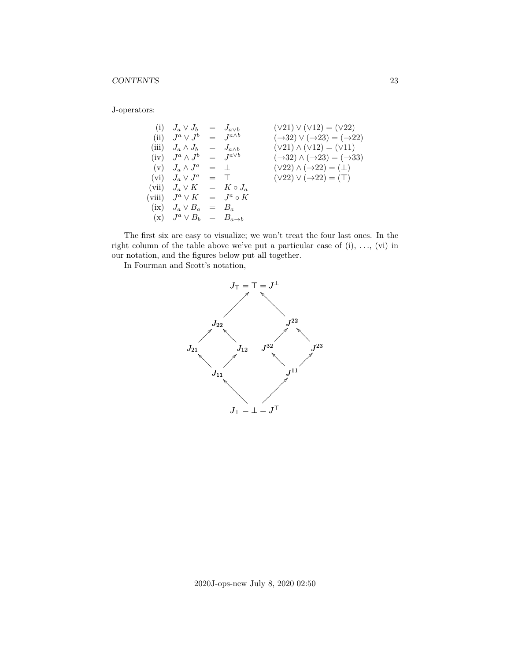J-operators:

(i) 
$$
J_a \vee J_b = J_{a \vee b}
$$
  $(\vee 21) \vee (\vee 12) = (\vee 22)$   
\n(ii)  $J^a \vee J^b = J^{a \wedge b}$   $(\rightarrow 32) \vee (\rightarrow 23) = (\rightarrow 22)$   
\n(iii)  $J_a \wedge J_b = J_{a \wedge b}$   $(\vee 21) \wedge (\vee 12) = (\vee 11)$   
\n(iv)  $J^a \wedge J^b = J^{a \vee b}$   $(\rightarrow 32) \wedge (\rightarrow 23) = (\rightarrow 33)$   
\n(v)  $J_a \wedge J^a = \bot$   $(\vee 22) \wedge (\rightarrow 22) = (\bot)$   
\n(vi)  $J_a \vee J^a = \top$   $(\vee 22) \vee (\rightarrow 22) = (\top)$   
\n(vii)  $J_a \vee K = J^a \circ K$   
\n(ix)  $J_a \vee B_a = B_a$   
\n(x)  $J^a \vee B_b = B_{a \rightarrow b}$ 

The first six are easy to visualize; we won't treat the four last ones. In the right column of the table above we've put a particular case of  $(i)$ , ...,  $(vi)$  in our notation, and the figures below put all together.

In Fourman and Scott's notation,

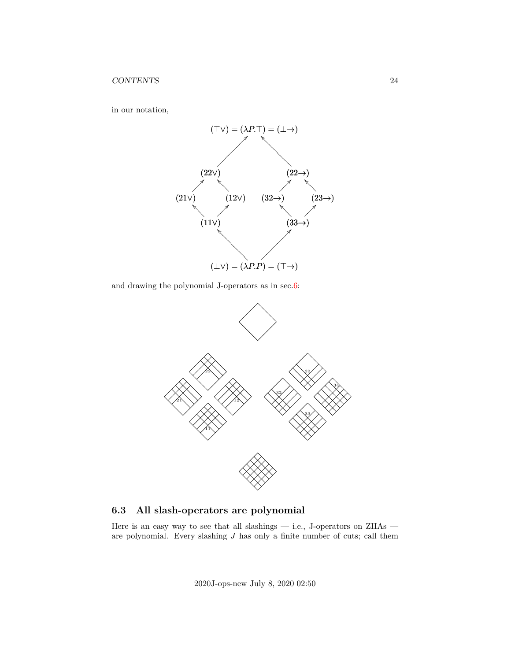

in our notation,

and drawing the polynomial J-operators as in sec[.6:](#page-18-0)



<span id="page-23-0"></span>**6.3 All slash-operators are polynomial**

Here is an easy way to see that all slashings — i.e., J-operators on ZHAs —  $\,$ are polynomial. Every slashing  $J$  has only a finite number of cuts; call them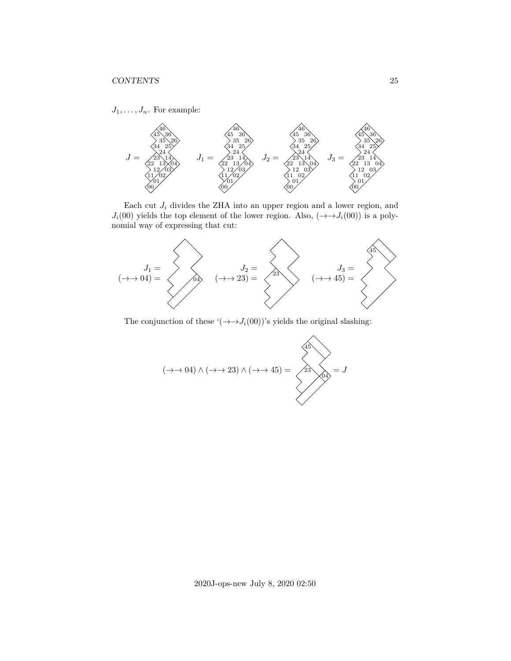$J_1, \ldots, J_n$ . For example:



Each cut  $J_i$  divides the ZHA into an upper region and a lower region, and  $J_i(00)$  yields the top element of the lower region. Also,  $(\rightarrow \rightarrow J_i(00))$  is a polynomial way of expressing that cut:



The conjunction of these ' $(\rightarrow \rightarrow J_i(00))$ 's yields the original slashing:

$$
(\rightarrow \rightarrow 04) \land (\rightarrow \rightarrow 23) \land (\rightarrow \rightarrow 45) = \boxed{23 \text{ odd}} = J
$$

 $\lambda$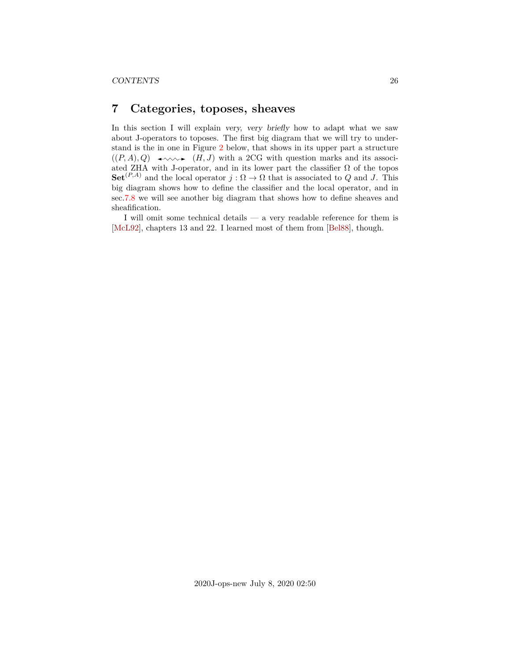# <span id="page-25-0"></span>**7 Categories, toposes, sheaves**

In this section I will explain very, very briefly how to adapt what we saw about J-operators to toposes. The first big diagram that we will try to understand is the in one in Figure [2](#page-26-0) below, that shows in its upper part a structure  $((P, A), Q) \longrightarrow (H, J)$  with a 2CG with question marks and its associated ZHA with J-operator, and in its lower part the classifier  $\Omega$  of the topos  $\mathbf{Set}^{(P,A)}$  and the local operator  $j : \Omega \to \Omega$  that is associated to Q and J. This big diagram shows how to define the classifier and the local operator, and in sec[.7.8](#page-35-0) we will see another big diagram that shows how to define sheaves and sheafification.

I will omit some technical details — a very readable reference for them is [\[McL92\]](#page-37-4), chapters 13 and 22. I learned most of them from [\[Bel88\]](#page-37-1), though.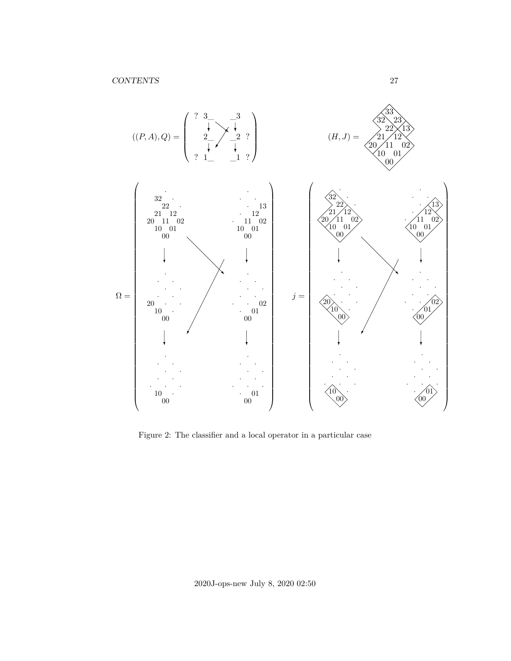

<span id="page-26-0"></span>Figure 2: The classifier and a local operator in a particular case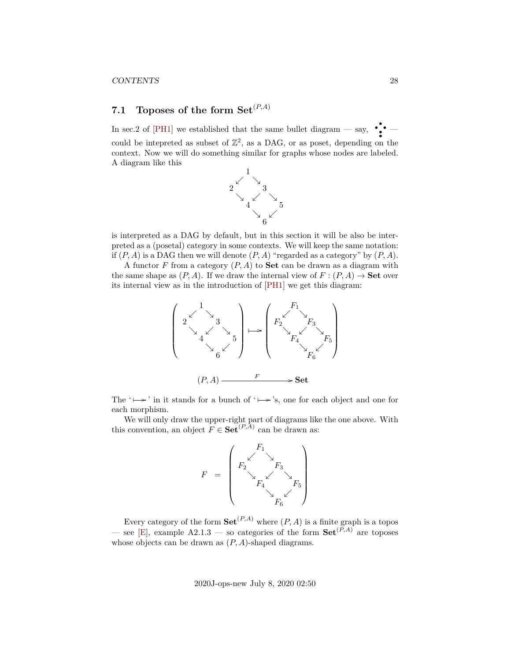#### CONTENTS 28

# <span id="page-27-0"></span>**7.1 Toposes of the form**  $Set^{(P,A)}$

In sec.2 of [\[PH1\]](#page-37-0) we established that the same bullet diagram — say,  $\cdot$ ,  $\cdot$ could be intepreted as subset of  $\mathbb{Z}^2$ , as a DAG, or as poset, depending on the context. Now we will do something similar for graphs whose nodes are labeled. A diagram like this



is interpreted as a DAG by default, but in this section it will be also be interpreted as a (posetal) category in some contexts. We will keep the same notation: if  $(P, A)$  is a DAG then we will denote  $(P, A)$  "regarded as a category" by  $(P, A)$ .

A functor F from a category  $(P, A)$  to **Set** can be drawn as a diagram with the same shape as  $(P, A)$ . If we draw the internal view of  $F : (P, A) \to \mathbf{Set}$  over its internal view as in the introduction of [\[PH1\]](#page-37-0) we get this diagram:



The ' $\mapsto$ ' in it stands for a bunch of ' $\mapsto$ 's, one for each object and one for each morphism.

We will only draw the upper-right part of diagrams like the one above. With this convention, an object  $F \in \mathbf{Set}^{(P,A)}$  can be drawn as:



Every category of the form  $\mathbf{Set}^{(P,A)}$  where  $(P,A)$  is a finite graph is a topos — see [\[E\]](#page-37-5), example A2.1.3 — so categories of the form  $\mathbf{Set}^{(P,A)}$  are toposes whose objects can be drawn as  $(P, A)$ -shaped diagrams.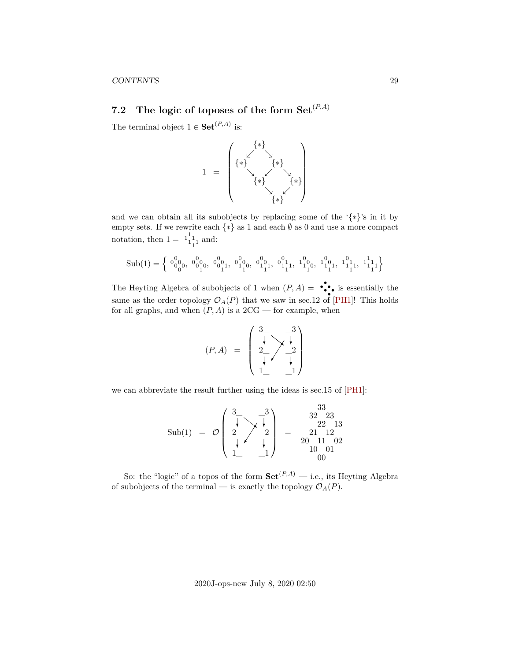# <span id="page-28-0"></span>**7.2** The logic of toposes of the form  $Set^{(P,A)}$

The terminal object  $1 \in \mathbf{Set}^{(P,A)}$  is:



and we can obtain all its subobjects by replacing some of the ' $\{*\}$ 's in it by empty sets. If we rewrite each  $\{*\}$  as 1 and each  $\emptyset$  as 0 and use a more compact notation, then  $1 = \begin{bmatrix} 1 \\ 1 \\ 1 \end{bmatrix}$  and:

$$
\mathrm{Sub}(1)=\Big\{\begin{array}{l} 0^0_{00},\ 0^0_{00},\ 0^0_{01},\ 0^0_{01},\ 0^0_{11},\ 0^1_{10},\ 0^0_{11},\ 0^1_{11},\ 1^0_{10},\ 1^0_{11},\ 1^1_{11},\ 1^1_{11},\ 1^1_{11}\end{array}\Big\}
$$

The Heyting Algebra of subobjects of 1 when  $(P, A) = \bullet \bullet \bullet \bullet$  is essentially the same as the order topology  $\mathcal{O}_A(P)$  that we saw in sec.12 of [\[PH1\]](#page-37-0)! This holds for all graphs, and when  $(P, A)$  is a  $2CG$  — for example, when

$$
(P, A) = \begin{pmatrix} 3 & -3 \\ \frac{1}{2} & \frac{1}{2} \\ \frac{1}{2} & \frac{1}{2} \end{pmatrix}
$$

we can abbreviate the result further using the ideas is sec.15 of [\[PH1\]](#page-37-0):

$$
\text{Sub}(1) \ = \ \mathcal{O}\left(\begin{array}{c}3\_3\\ \rule{0pt}{5mm}\rule{0pt}{5mm}\rule{0pt}{5mm}\rule{0pt}{5mm}\rule{0pt}{5mm}\rule{0pt}{5mm}\rule{0pt}{5mm}\rule{0pt}{5mm}\rule{0pt}{5mm}\rule{0pt}{5mm}\rule{0pt}{5mm}\rule{0pt}{5mm}\rule{0pt}{5mm}\rule{0pt}{5mm}\rule{0pt}{5mm}\rule{0pt}{5mm}\rule{0pt}{5mm}\rule{0pt}{5mm}\rule{0pt}{5mm}\rule{0pt}{5mm}\rule{0pt}{5mm}\rule{0pt}{5mm}\rule{0pt}{5mm}\rule{0pt}{5mm}\rule{0pt}{5mm}\rule{0pt}{5mm}\rule{0pt}{5mm}\rule{0pt}{5mm}\rule{0pt}{5mm}\rule{0pt}{5mm}\rule{0pt}{5mm}\rule{0pt}{5mm}\rule{0pt}{5mm}\rule{0pt}{5mm}\rule{0pt}{5mm}\rule{0pt}{5mm}\rule{0pt}{5mm}\rule{0pt}{5mm}\rule{0pt}{5mm}\rule{0pt}{5mm}\rule{0pt}{5mm}\rule{0pt}{5mm}\rule{0pt}{5mm}\rule{0pt}{5mm}\rule{0pt}{5mm}\rule{0pt}{5mm}\rule{0pt}{5mm}\rule{0pt}{5mm}\rule{0pt}{5mm}\rule{0pt}{5mm}\rule{0pt}{5mm}\rule{0pt}{5mm}\rule{0pt}{5mm}\rule{0pt}{5mm}\rule{0pt}{5mm}\rule{0pt}{5mm}\rule{0pt}{5mm}\rule{0pt}{5mm}\rule{0pt}{5mm}\rule{0pt}{5mm}\rule{0pt}{5mm}\rule{0pt}{5mm}\rule{0pt}{5mm}\rule{0pt}{5mm}\rule{0pt}{5mm}\rule{0pt}{5mm}\rule{0pt}{5mm}\rule{0pt}{5mm}\rule{0pt}{5mm}\rule{0pt}{5mm}\rule{0pt}{5mm}\rule{0pt}{5mm}\rule{0pt}{5mm}\rule{0pt}{5mm}\rule{0pt}{5mm}\rule{0pt}{5mm}\rule{0pt}{5mm}\rule{0pt}{5mm}\rule{0pt}{5mm}\rule{0pt}{5mm}\rule{0pt}{5mm}\rule{0pt}{5mm}\rule{0pt}{5mm}\rule{0pt}{5mm}\rule{0pt}{5mm}\rule{0pt}{5mm}\rule{0pt}{5mm}\rule{0pt}{5mm}\rule{0pt}{5mm}\rule{0pt}{5mm}\rule{0pt}{5mm}\rule{0
$$

So: the "logic" of a topos of the form  $\mathbf{Set}^{(P,A)}$  — i.e., its Heyting Algebra of subobjects of the terminal — is exactly the topology  $\mathcal{O}_A(P)$ .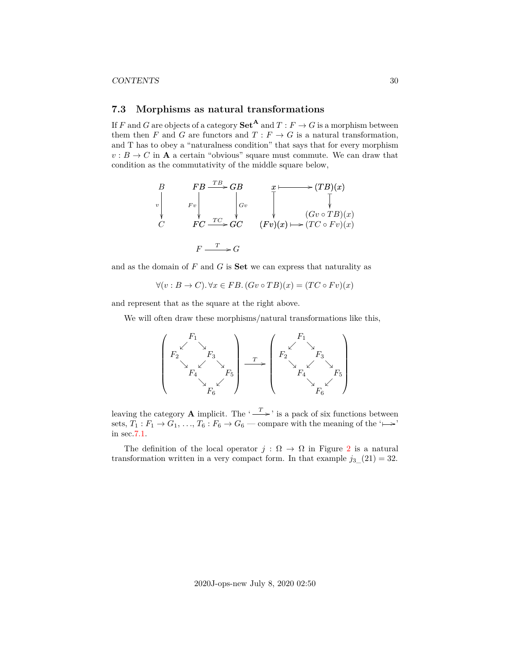### <span id="page-29-0"></span>**7.3 Morphisms as natural transformations**

If F and G are objects of a category  $\mathbf{Set}^{\mathbf{A}}$  and  $T : F \to G$  is a morphism between them then F and G are functors and  $T : F \to G$  is a natural transformation, and T has to obey a "naturalness condition" that says that for every morphism  $v : B \to C$  in **A** a certain "obvious" square must commute. We can draw that condition as the commutativity of the middle square below,

$$
\begin{array}{ccc}\nB & FB \xrightarrow{TB} GB & x \longmapsto (TB)(x) \\
\downarrow^{v} & Fv & \downarrow^{Gv} & \downarrow^{Gv} \\
C & FC \xrightarrow{TC} GC & (Fv)(x) \longmapsto (TC \circ Fv)(x) \\
& F \xrightarrow{T} G & Gv \xrightarrow{T} G\n\end{array}
$$

and as the domain of  $F$  and  $G$  is **Set** we can express that naturality as

$$
\forall (v : B \to C). \forall x \in FB. (Gv \circ TB)(x) = (TC \circ Fv)(x)
$$

and represent that as the square at the right above.

We will often draw these morphisms/natural transformations like this,

$$
\left(\begin{array}{ccc} & F_1 & & \\ & \swarrow & & \\ & & F_2 & & \\ & & \searrow & & \\ & & F_4 & & F_5 \\ & & & \searrow & & \\ & & & F_6 & & \\ \end{array}\right) \longrightarrow \left(\begin{array}{ccc} & & & F_1 & & \\ & \swarrow & & & \\ & & \searrow & & \\ & & \searrow & & \\ & & & F_4 & & \\ & & & \searrow & & \\ & & & F_6 & & \\ \end{array}\right)
$$

leaving the category **A** implicit. The ' $\xrightarrow{T}$ ' is a pack of six functions between sets,  $T_1: F_1 \to G_1, \ldots, T_6: F_6 \to G_6$  — compare with the meaning of the ' $\mapsto$ ' in sec[.7.1.](#page-27-0)

The definition of the local operator  $j : \Omega \to \Omega$  in Figure [2](#page-26-0) is a natural transformation written in a very compact form. In that example  $j_3(21) = 32$ .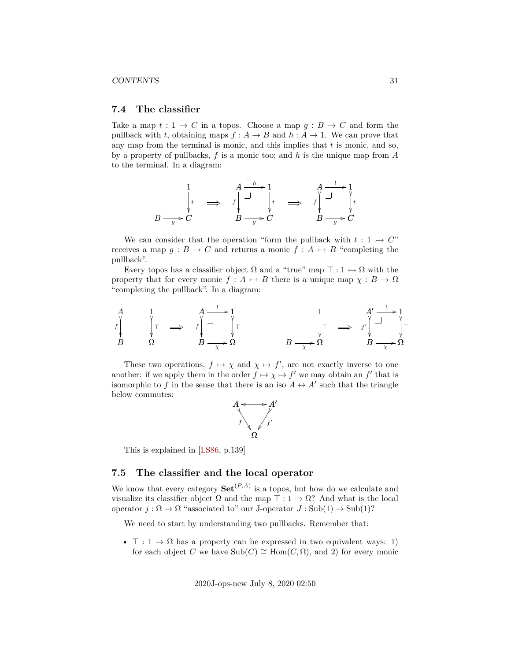#### CONTENTS 31

#### <span id="page-30-0"></span>**7.4 The classifier**

Take a map  $t: 1 \to C$  in a topos. Choose a map  $q: B \to C$  and form the pullback with t, obtaining maps  $f : A \to B$  and  $h : A \to 1$ . We can prove that any map from the terminal is monic, and this implies that  $t$  is monic, and so, by a property of pullbacks,  $f$  is a monic too; and  $h$  is the unique map from  $A$ to the terminal. In a diagram:

$$
\begin{array}{ccc}\n & 1 & A \xrightarrow{h} 1 & A \xrightarrow{!} 1 \\
\downarrow_t & \Longrightarrow & f \downarrow \xrightarrow{!} t & \Longrightarrow & f \downarrow \xrightarrow{!} \downarrow_t \\
B \xrightarrow{g} C & B \xrightarrow{g} C & B \xrightarrow{g} C\n\end{array}
$$

We can consider that the operation "form the pullback with  $t: 1 \rightarrow C$ " receives a map  $g : B \to C$  and returns a monic  $f : A \rightarrow B$  "completing the pullback".

Every topos has a classifier object  $\Omega$  and a "true" map  $\top : 1 \rightarrow \Omega$  with the property that for every monic  $f : A \rightarrow B$  there is a unique map  $\chi : B \rightarrow \Omega$ "completing the pullback". In a diagram:

$$
\begin{array}{ccccccc}\nA & & 1 & & A & \rightarrow & 1 \\
f_{\parallel} & & \uparrow & & \rightarrow & f_{\parallel} & \rightarrow & \uparrow \\
B & & \Omega & & & B & \rightarrow & \Omega & & \end{array}\n\begin{array}{ccccccc}\nA & & & & & & 1 & & A' & \rightarrow & 1 \\
\downarrow & & & & & & \downarrow & & \downarrow & \uparrow & \uparrow \\
B & & & B & \rightarrow & \Omega & & & B & \rightarrow & \Omega\n\end{array}
$$

These two operations,  $f \mapsto \chi$  and  $\chi \mapsto f'$ , are not exactly inverse to one another: if we apply them in the order  $f \mapsto \chi \mapsto f'$  we may obtain an f' that is isomorphic to f in the sense that there is an iso  $A \leftrightarrow A'$  such that the triangle below commutes:



This is explained in [\[LS86,](#page-37-6) p.139]

# <span id="page-30-1"></span>**7.5 The classifier and the local operator**

We know that every category  $\mathbf{Set}^{(P,A)}$  is a topos, but how do we calculate and visualize its classifier object  $\Omega$  and the map  $\top : 1 \to \Omega$ ? And what is the local operator  $j : \Omega \to \Omega$  "associated to" our J-operator  $J : Sub(1) \to Sub(1)$ ?

We need to start by understanding two pullbacks. Remember that:

•  $\top : 1 \to \Omega$  has a property can be expressed in two equivalent ways: 1) for each object C we have  $\text{Sub}(C) \cong \text{Hom}(C, \Omega)$ , and 2) for every monic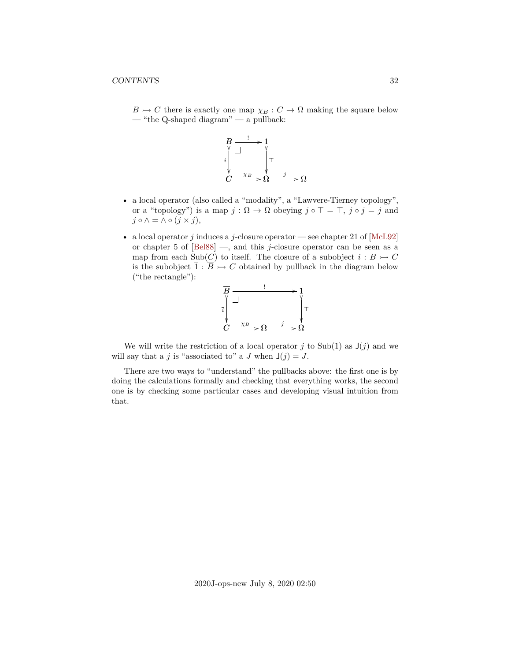$B \rightarrowtail C$  there is exactly one map  $\chi_B : C \rightarrow \Omega$  making the square below — "the Q-shaped diagram" — a pullback:



- a local operator (also called a "modality", a "Lawvere-Tierney topology", or a "topology") is a map  $j : \Omega \to \Omega$  obeying  $j \circ \top = \top$ ,  $j \circ j = j$  and  $j \circ \wedge = \wedge \circ (j \times j),$
- a local operator j induces a j-closure operator see chapter 21 of  $[McL92]$ or chapter 5 of  $[Bel88]$  —, and this j-closure operator can be seen as a map from each Sub(C) to itself. The closure of a subobject  $i : B \rightarrow C$ is the subobject  $\overline{1} : \overline{B} \rightarrowtail C$  obtained by pullback in the diagram below ("the rectangle"):



We will write the restriction of a local operator j to Sub(1) as  $J(j)$  and we will say that a j is "associated to" a J when  $J(j) = J$ .

There are two ways to "understand" the pullbacks above: the first one is by doing the calculations formally and checking that everything works, the second one is by checking some particular cases and developing visual intuition from that.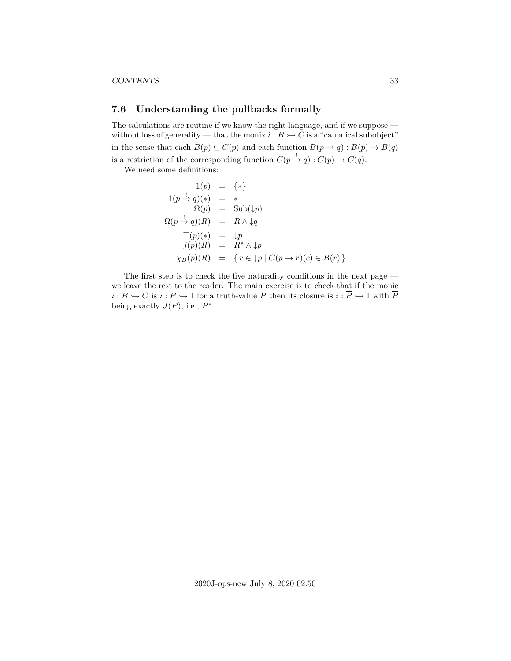#### CONTENTS 33

### <span id="page-32-0"></span>**7.6 Understanding the pullbacks formally**

The calculations are routine if we know the right language, and if we suppose without loss of generality — that the monix  $i : B \rightarrow C$  is a "canonical subobject" in the sense that each  $B(p) \subseteq C(p)$  and each function  $B(p \to q) : B(p) \to B(q)$ is a restriction of the corresponding function  $C(p \to q)$  :  $C(p) \to C(q)$ .

We need some definitions:

$$
1(p) = {*}
$$
  
\n
$$
1(p \rightarrow q)(*) = *
$$
  
\n
$$
\Omega(p) = \text{Sub}(\downarrow p)
$$
  
\n
$$
\Omega(p \rightarrow q)(R) = R \land \downarrow q
$$
  
\n
$$
\top(p)(*) = \downarrow p
$$
  
\n
$$
j(p)(R) = R^* \land \downarrow p
$$
  
\n
$$
\chi_B(p)(R) = \{r \in \downarrow p \mid C(p \rightarrow r)(c) \in B(r)\}
$$

The first step is to check the five naturality conditions in the next page we leave the rest to the reader. The main exercise is to check that if the monic  $i: B \rightarrowtail C$  is  $i: P \rightarrowtail 1$  for a truth-value P then its closure is  $i: \overline{P} \rightarrowtail 1$  with  $\overline{P}$ being exactly  $J(P)$ , i.e.,  $P^*$ .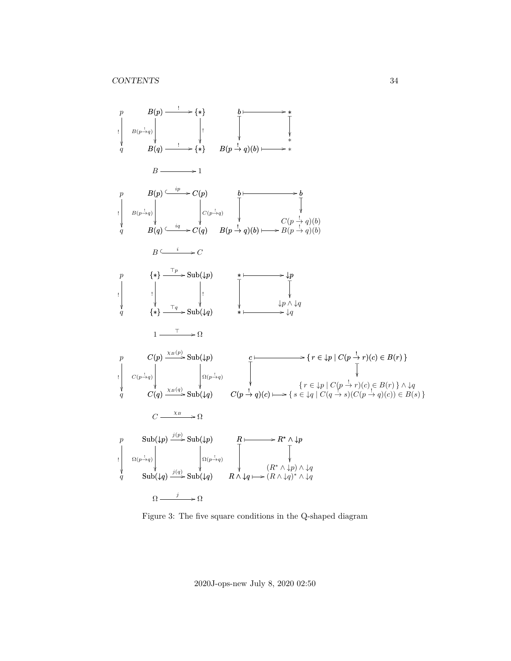

Figure 3: The five square conditions in the Q-shaped diagram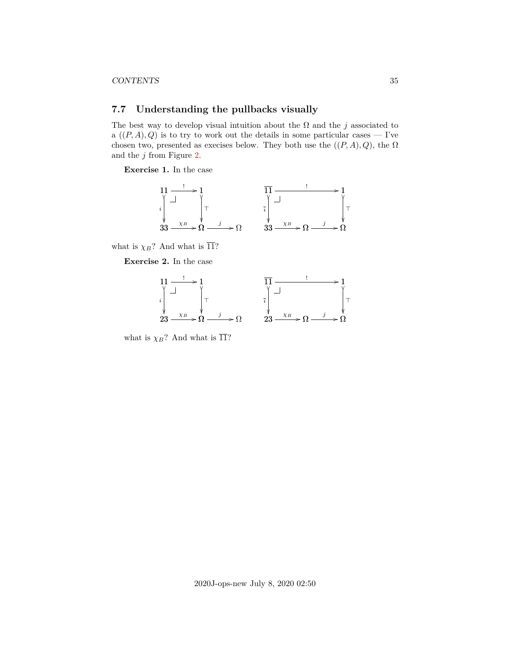### <span id="page-34-0"></span>**7.7 Understanding the pullbacks visually**

The best way to develop visual intuition about the  $\Omega$  and the j associated to a  $((P, A), Q)$  is to try to work out the details in some particular cases — I've chosen two, presented as execises below. They both use the  $((P, A), Q)$ , the  $\Omega$ and the  $j$  from Figure [2.](#page-26-0)

**Exercise 1.** In the case



what is  $\overline{\chi}_B$ ? And what is  $\overline{11}$ ?

**Exercise 2.** In the case



what is  $\overline{\chi}_B$ ? And what is  $\overline{11}$ ?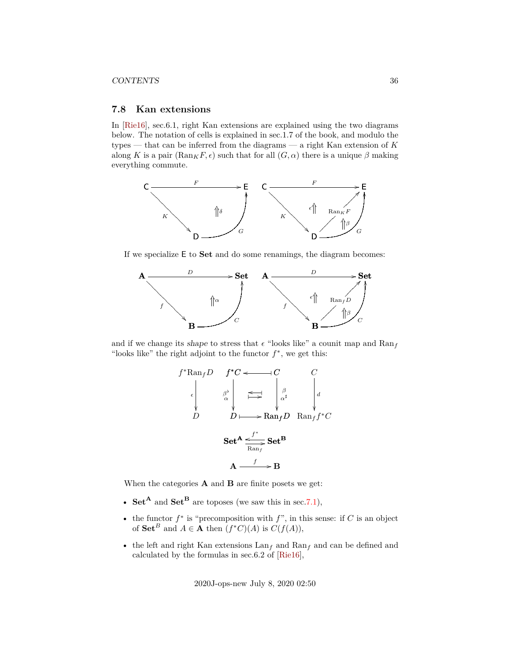#### CONTENTS 36

### <span id="page-35-0"></span>**7.8 Kan extensions**

In [\[Rie16\]](#page-37-7), sec.6.1, right Kan extensions are explained using the two diagrams below. The notation of cells is explained in sec.1.7 of the book, and modulo the types — that can be inferred from the diagrams — a right Kan extension of  $K$ along K is a pair  $(\text{Ran}_K F, \epsilon)$  such that for all  $(G, \alpha)$  there is a unique  $\beta$  making everything commute.



If we specialize E to Set and do some renamings, the diagram becomes:



and if we change its shape to stress that  $\epsilon$  "looks like" a counit map and  $\text{Ran}_f$ "looks like" the right adjoint to the functor  $f^*$ , we get this:

$$
f^* \text{Ran}_f D \quad f^* C \leftarrow \qquad C
$$
  
\n
$$
\downarrow \qquad \qquad \beta^{\flat} \qquad \qquad \Longleftrightarrow \qquad \qquad \downarrow \qquad \qquad \downarrow \qquad \downarrow
$$
  
\n
$$
D \qquad \qquad D \qquad \qquad \rightarrow \text{Ran}_f D \quad \text{Ran}_f f^* C
$$
  
\n
$$
\text{Set}^{\mathbf{A}} \xrightarrow{\qquad f^* \qquad \qquad}_{\text{Ran}_f} \text{Set}^{\mathbf{B}}
$$
  
\n
$$
\mathbf{A} \xrightarrow{f} \qquad \mathbf{B}
$$

When the categories  $A$  and  $B$  are finite posets we get:

- Set<sup>A</sup> and Set<sup>B</sup> are toposes (we saw this in sec[.7.1\)](#page-27-0),
- the functor  $f^*$  is "precomposition with  $f$ ", in this sense: if C is an object of  $\mathbf{Set}^B$  and  $A \in \mathbf{A}$  then  $(f^*C)(A)$  is  $C(f(A)),$
- the left and right Kan extensions  $\text{Lan}_f$  and  $\text{Ran}_f$  and can be defined and calculated by the formulas in sec.6.2 of [\[Rie16\]](#page-37-7),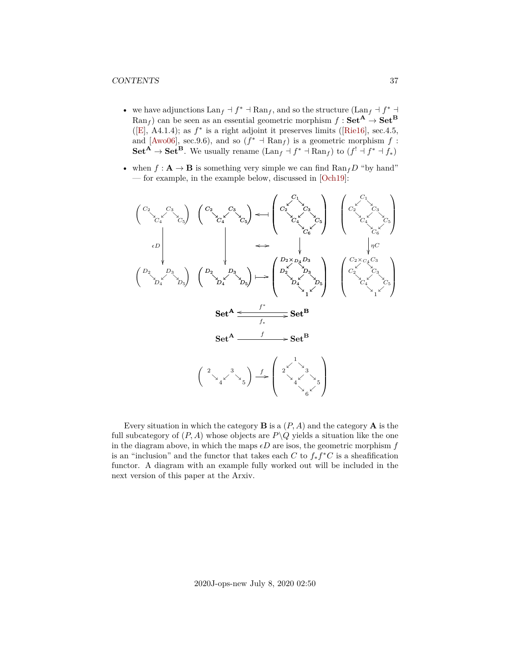- we have adjunctions  $\text{Lan}_f \dashv f^* \dashv \text{Ran}_f$ , and so the structure  $(\text{Lan}_f \dashv f^* \dashv f^* \dashv f^*$  $\text{Ran}_f$  can be seen as an essential geometric morphism  $f : \mathbf{Set}^{\mathbf{A}} \to \mathbf{Set}^{\mathbf{B}}$ ([\[E\]](#page-37-5),A4.1.4); as  $f^*$  is a right adjoint it preserves limits ([\[Rie16\]](#page-37-7), sec.4.5, and [\[Awo06\]](#page-37-8), sec.9.6), and so  $(f^* \dashv \text{Ran}_f)$  is a geometric morphism  $f$ :  $\mathbf{Set}^{\mathbf{A}} \to \mathbf{Set}^{\mathbf{B}}$ . We usually rename  $(\text{Lan}_f \dashv f^* \dashv \text{Ran}_f)$  to  $(f^! \dashv f^* \dashv f_*)$
- when  $f: \mathbf{A} \to \mathbf{B}$  is something very simple we can find  $\text{Ran}_f D$  "by hand" — for example, in the example below, discussed in [\[Och19\]](#page-37-9):



Every situation in which the category **B** is a  $(P, A)$  and the category **A** is the full subcategory of  $(P, A)$  whose objects are  $P\setminus Q$  yields a situation like the one in the diagram above, in which the maps  $\epsilon D$  are isos, the geometric morphism f is an "inclusion" and the functor that takes each  $C$  to  $f_* f^*C$  is a sheafification functor. A diagram with an example fully worked out will be included in the next version of this paper at the Arxiv.